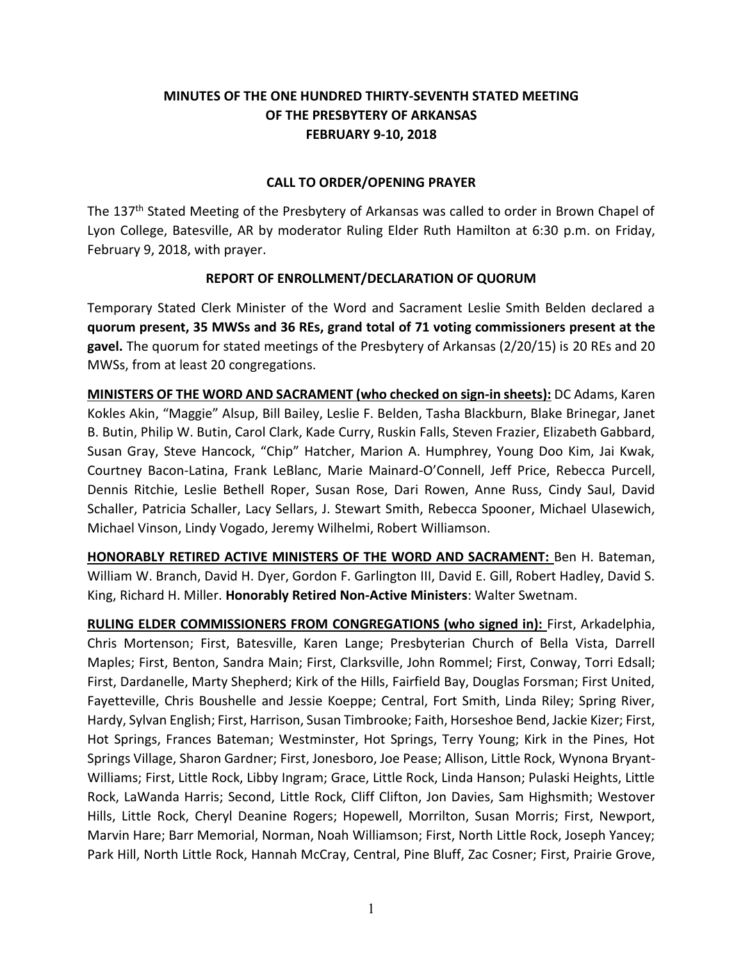## **MINUTES OF THE ONE HUNDRED THIRTY-SEVENTH STATED MEETING OF THE PRESBYTERY OF ARKANSAS FEBRUARY 9-10, 2018**

### **CALL TO ORDER/OPENING PRAYER**

The 137<sup>th</sup> Stated Meeting of the Presbytery of Arkansas was called to order in Brown Chapel of Lyon College, Batesville, AR by moderator Ruling Elder Ruth Hamilton at 6:30 p.m. on Friday, February 9, 2018, with prayer.

### **REPORT OF ENROLLMENT/DECLARATION OF QUORUM**

Temporary Stated Clerk Minister of the Word and Sacrament Leslie Smith Belden declared a **quorum present, 35 MWSs and 36 REs, grand total of 71 voting commissioners present at the gavel.** The quorum for stated meetings of the Presbytery of Arkansas (2/20/15) is 20 REs and 20 MWSs, from at least 20 congregations.

**MINISTERS OF THE WORD AND SACRAMENT (who checked on sign-in sheets):** DC Adams, Karen Kokles Akin, "Maggie" Alsup, Bill Bailey, Leslie F. Belden, Tasha Blackburn, Blake Brinegar, Janet B. Butin, Philip W. Butin, Carol Clark, Kade Curry, Ruskin Falls, Steven Frazier, Elizabeth Gabbard, Susan Gray, Steve Hancock, "Chip" Hatcher, Marion A. Humphrey, Young Doo Kim, Jai Kwak, Courtney Bacon-Latina, Frank LeBlanc, Marie Mainard-O'Connell, Jeff Price, Rebecca Purcell, Dennis Ritchie, Leslie Bethell Roper, Susan Rose, Dari Rowen, Anne Russ, Cindy Saul, David Schaller, Patricia Schaller, Lacy Sellars, J. Stewart Smith, Rebecca Spooner, Michael Ulasewich, Michael Vinson, Lindy Vogado, Jeremy Wilhelmi, Robert Williamson.

**HONORABLY RETIRED ACTIVE MINISTERS OF THE WORD AND SACRAMENT:** Ben H. Bateman, William W. Branch, David H. Dyer, Gordon F. Garlington III, David E. Gill, Robert Hadley, David S. King, Richard H. Miller. **Honorably Retired Non-Active Ministers**: Walter Swetnam.

**RULING ELDER COMMISSIONERS FROM CONGREGATIONS (who signed in):** First, Arkadelphia, Chris Mortenson; First, Batesville, Karen Lange; Presbyterian Church of Bella Vista, Darrell Maples; First, Benton, Sandra Main; First, Clarksville, John Rommel; First, Conway, Torri Edsall; First, Dardanelle, Marty Shepherd; Kirk of the Hills, Fairfield Bay, Douglas Forsman; First United, Fayetteville, Chris Boushelle and Jessie Koeppe; Central, Fort Smith, Linda Riley; Spring River, Hardy, Sylvan English; First, Harrison, Susan Timbrooke; Faith, Horseshoe Bend, Jackie Kizer; First, Hot Springs, Frances Bateman; Westminster, Hot Springs, Terry Young; Kirk in the Pines, Hot Springs Village, Sharon Gardner; First, Jonesboro, Joe Pease; Allison, Little Rock, Wynona Bryant-Williams; First, Little Rock, Libby Ingram; Grace, Little Rock, Linda Hanson; Pulaski Heights, Little Rock, LaWanda Harris; Second, Little Rock, Cliff Clifton, Jon Davies, Sam Highsmith; Westover Hills, Little Rock, Cheryl Deanine Rogers; Hopewell, Morrilton, Susan Morris; First, Newport, Marvin Hare; Barr Memorial, Norman, Noah Williamson; First, North Little Rock, Joseph Yancey; Park Hill, North Little Rock, Hannah McCray, Central, Pine Bluff, Zac Cosner; First, Prairie Grove,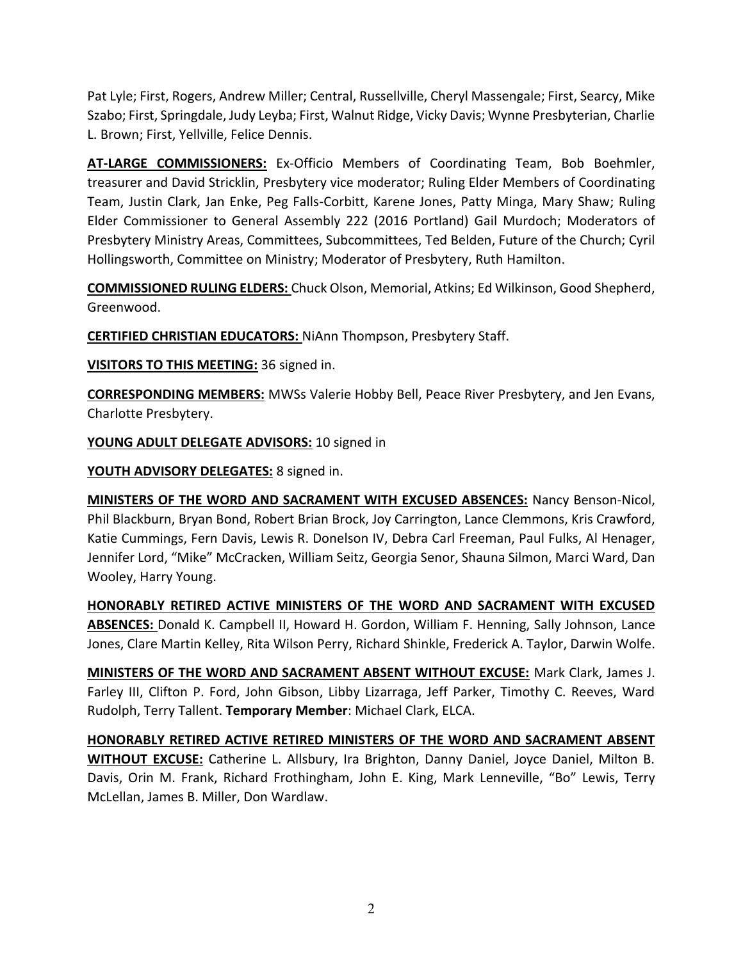Pat Lyle; First, Rogers, Andrew Miller; Central, Russellville, Cheryl Massengale; First, Searcy, Mike Szabo; First, Springdale, Judy Leyba; First, Walnut Ridge, Vicky Davis; Wynne Presbyterian, Charlie L. Brown; First, Yellville, Felice Dennis.

**AT-LARGE COMMISSIONERS:** Ex-Officio Members of Coordinating Team, Bob Boehmler, treasurer and David Stricklin, Presbytery vice moderator; Ruling Elder Members of Coordinating Team, Justin Clark, Jan Enke, Peg Falls-Corbitt, Karene Jones, Patty Minga, Mary Shaw; Ruling Elder Commissioner to General Assembly 222 (2016 Portland) Gail Murdoch; Moderators of Presbytery Ministry Areas, Committees, Subcommittees, Ted Belden, Future of the Church; Cyril Hollingsworth, Committee on Ministry; Moderator of Presbytery, Ruth Hamilton.

**COMMISSIONED RULING ELDERS:** Chuck Olson, Memorial, Atkins; Ed Wilkinson, Good Shepherd, Greenwood.

**CERTIFIED CHRISTIAN EDUCATORS:** NiAnn Thompson, Presbytery Staff.

**VISITORS TO THIS MEETING:** 36 signed in.

**CORRESPONDING MEMBERS:** MWSs Valerie Hobby Bell, Peace River Presbytery, and Jen Evans, Charlotte Presbytery.

**YOUNG ADULT DELEGATE ADVISORS:** 10 signed in

**YOUTH ADVISORY DELEGATES:** 8 signed in.

**MINISTERS OF THE WORD AND SACRAMENT WITH EXCUSED ABSENCES:** Nancy Benson-Nicol, Phil Blackburn, Bryan Bond, Robert Brian Brock, Joy Carrington, Lance Clemmons, Kris Crawford, Katie Cummings, Fern Davis, Lewis R. Donelson IV, Debra Carl Freeman, Paul Fulks, Al Henager, Jennifer Lord, "Mike" McCracken, William Seitz, Georgia Senor, Shauna Silmon, Marci Ward, Dan Wooley, Harry Young.

**HONORABLY RETIRED ACTIVE MINISTERS OF THE WORD AND SACRAMENT WITH EXCUSED ABSENCES:** Donald K. Campbell II, Howard H. Gordon, William F. Henning, Sally Johnson, Lance Jones, Clare Martin Kelley, Rita Wilson Perry, Richard Shinkle, Frederick A. Taylor, Darwin Wolfe.

**MINISTERS OF THE WORD AND SACRAMENT ABSENT WITHOUT EXCUSE:** Mark Clark, James J. Farley III, Clifton P. Ford, John Gibson, Libby Lizarraga, Jeff Parker, Timothy C. Reeves, Ward Rudolph, Terry Tallent. **Temporary Member**: Michael Clark, ELCA.

**HONORABLY RETIRED ACTIVE RETIRED MINISTERS OF THE WORD AND SACRAMENT ABSENT WITHOUT EXCUSE:** Catherine L. Allsbury, Ira Brighton, Danny Daniel, Joyce Daniel, Milton B. Davis, Orin M. Frank, Richard Frothingham, John E. King, Mark Lenneville, "Bo" Lewis, Terry McLellan, James B. Miller, Don Wardlaw.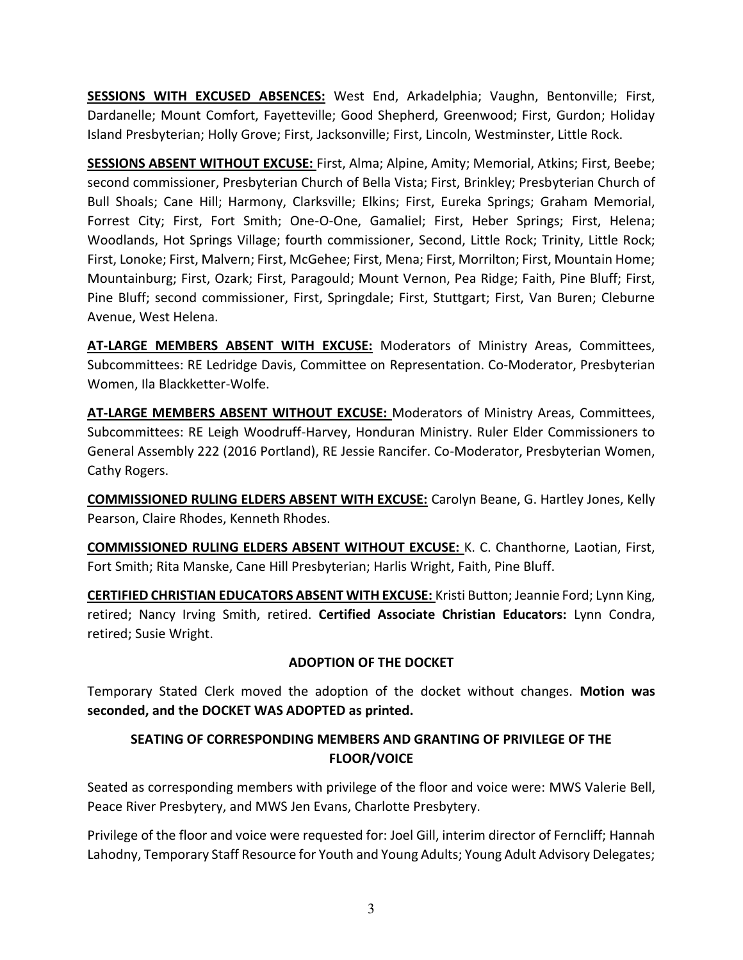**SESSIONS WITH EXCUSED ABSENCES:** West End, Arkadelphia; Vaughn, Bentonville; First, Dardanelle; Mount Comfort, Fayetteville; Good Shepherd, Greenwood; First, Gurdon; Holiday Island Presbyterian; Holly Grove; First, Jacksonville; First, Lincoln, Westminster, Little Rock.

**SESSIONS ABSENT WITHOUT EXCUSE:** First, Alma; Alpine, Amity; Memorial, Atkins; First, Beebe; second commissioner, Presbyterian Church of Bella Vista; First, Brinkley; Presbyterian Church of Bull Shoals; Cane Hill; Harmony, Clarksville; Elkins; First, Eureka Springs; Graham Memorial, Forrest City; First, Fort Smith; One-O-One, Gamaliel; First, Heber Springs; First, Helena; Woodlands, Hot Springs Village; fourth commissioner, Second, Little Rock; Trinity, Little Rock; First, Lonoke; First, Malvern; First, McGehee; First, Mena; First, Morrilton; First, Mountain Home; Mountainburg; First, Ozark; First, Paragould; Mount Vernon, Pea Ridge; Faith, Pine Bluff; First, Pine Bluff; second commissioner, First, Springdale; First, Stuttgart; First, Van Buren; Cleburne Avenue, West Helena.

**AT-LARGE MEMBERS ABSENT WITH EXCUSE:** Moderators of Ministry Areas, Committees, Subcommittees: RE Ledridge Davis, Committee on Representation. Co-Moderator, Presbyterian Women, Ila Blackketter-Wolfe.

**AT-LARGE MEMBERS ABSENT WITHOUT EXCUSE:** Moderators of Ministry Areas, Committees, Subcommittees: RE Leigh Woodruff-Harvey, Honduran Ministry. Ruler Elder Commissioners to General Assembly 222 (2016 Portland), RE Jessie Rancifer. Co-Moderator, Presbyterian Women, Cathy Rogers.

**COMMISSIONED RULING ELDERS ABSENT WITH EXCUSE:** Carolyn Beane, G. Hartley Jones, Kelly Pearson, Claire Rhodes, Kenneth Rhodes.

**COMMISSIONED RULING ELDERS ABSENT WITHOUT EXCUSE:** K. C. Chanthorne, Laotian, First, Fort Smith; Rita Manske, Cane Hill Presbyterian; Harlis Wright, Faith, Pine Bluff.

**CERTIFIED CHRISTIAN EDUCATORS ABSENT WITH EXCUSE:** Kristi Button; Jeannie Ford; Lynn King, retired; Nancy Irving Smith, retired. **Certified Associate Christian Educators:** Lynn Condra, retired; Susie Wright.

## **ADOPTION OF THE DOCKET**

Temporary Stated Clerk moved the adoption of the docket without changes. **Motion was seconded, and the DOCKET WAS ADOPTED as printed.**

# **SEATING OF CORRESPONDING MEMBERS AND GRANTING OF PRIVILEGE OF THE FLOOR/VOICE**

Seated as corresponding members with privilege of the floor and voice were: MWS Valerie Bell, Peace River Presbytery, and MWS Jen Evans, Charlotte Presbytery.

Privilege of the floor and voice were requested for: Joel Gill, interim director of Ferncliff; Hannah Lahodny, Temporary Staff Resource for Youth and Young Adults; Young Adult Advisory Delegates;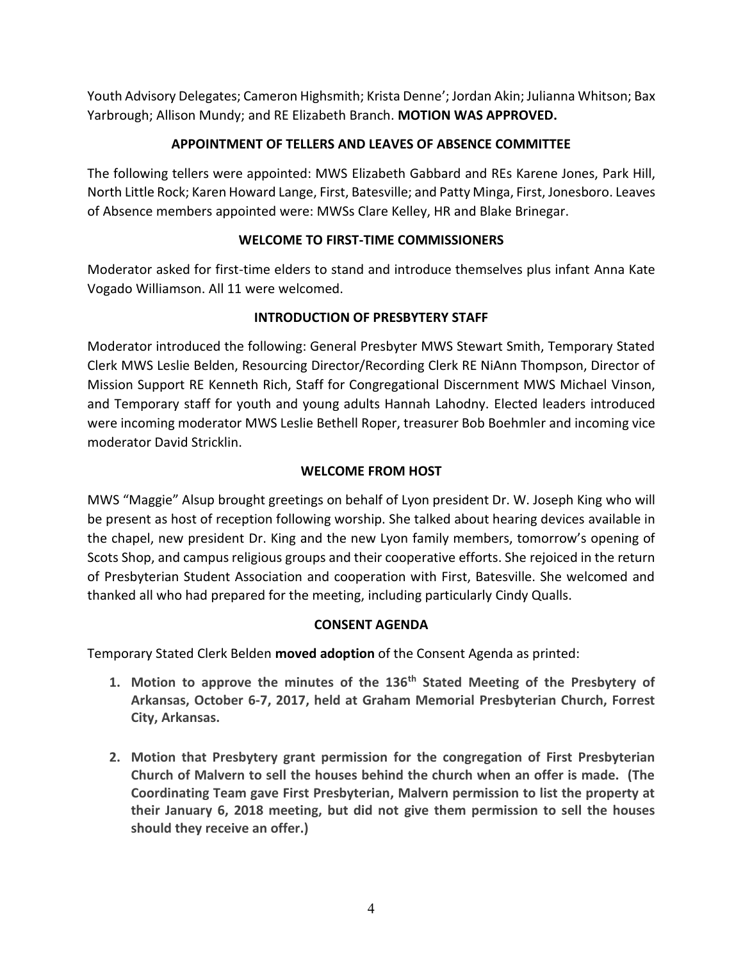Youth Advisory Delegates; Cameron Highsmith; Krista Denne'; Jordan Akin; Julianna Whitson; Bax Yarbrough; Allison Mundy; and RE Elizabeth Branch. **MOTION WAS APPROVED.**

# **APPOINTMENT OF TELLERS AND LEAVES OF ABSENCE COMMITTEE**

The following tellers were appointed: MWS Elizabeth Gabbard and REs Karene Jones, Park Hill, North Little Rock; Karen Howard Lange, First, Batesville; and Patty Minga, First, Jonesboro. Leaves of Absence members appointed were: MWSs Clare Kelley, HR and Blake Brinegar.

# **WELCOME TO FIRST-TIME COMMISSIONERS**

Moderator asked for first-time elders to stand and introduce themselves plus infant Anna Kate Vogado Williamson. All 11 were welcomed.

# **INTRODUCTION OF PRESBYTERY STAFF**

Moderator introduced the following: General Presbyter MWS Stewart Smith, Temporary Stated Clerk MWS Leslie Belden, Resourcing Director/Recording Clerk RE NiAnn Thompson, Director of Mission Support RE Kenneth Rich, Staff for Congregational Discernment MWS Michael Vinson, and Temporary staff for youth and young adults Hannah Lahodny. Elected leaders introduced were incoming moderator MWS Leslie Bethell Roper, treasurer Bob Boehmler and incoming vice moderator David Stricklin.

# **WELCOME FROM HOST**

MWS "Maggie" Alsup brought greetings on behalf of Lyon president Dr. W. Joseph King who will be present as host of reception following worship. She talked about hearing devices available in the chapel, new president Dr. King and the new Lyon family members, tomorrow's opening of Scots Shop, and campus religious groups and their cooperative efforts. She rejoiced in the return of Presbyterian Student Association and cooperation with First, Batesville. She welcomed and thanked all who had prepared for the meeting, including particularly Cindy Qualls.

# **CONSENT AGENDA**

Temporary Stated Clerk Belden **moved adoption** of the Consent Agenda as printed:

- **1. Motion to approve the minutes of the 136th Stated Meeting of the Presbytery of Arkansas, October 6-7, 2017, held at Graham Memorial Presbyterian Church, Forrest City, Arkansas.**
- **2. Motion that Presbytery grant permission for the congregation of First Presbyterian Church of Malvern to sell the houses behind the church when an offer is made. (The Coordinating Team gave First Presbyterian, Malvern permission to list the property at their January 6, 2018 meeting, but did not give them permission to sell the houses should they receive an offer.)**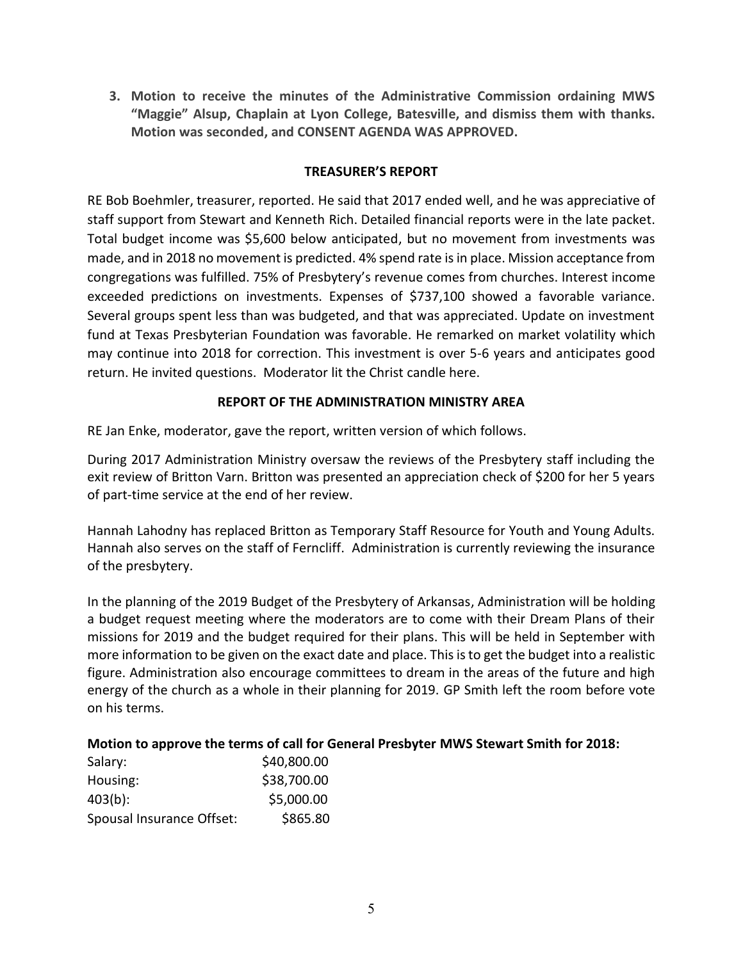**3. Motion to receive the minutes of the Administrative Commission ordaining MWS "Maggie" Alsup, Chaplain at Lyon College, Batesville, and dismiss them with thanks. Motion was seconded, and CONSENT AGENDA WAS APPROVED.**

### **TREASURER'S REPORT**

RE Bob Boehmler, treasurer, reported. He said that 2017 ended well, and he was appreciative of staff support from Stewart and Kenneth Rich. Detailed financial reports were in the late packet. Total budget income was \$5,600 below anticipated, but no movement from investments was made, and in 2018 no movement is predicted. 4% spend rate is in place. Mission acceptance from congregations was fulfilled. 75% of Presbytery's revenue comes from churches. Interest income exceeded predictions on investments. Expenses of \$737,100 showed a favorable variance. Several groups spent less than was budgeted, and that was appreciated. Update on investment fund at Texas Presbyterian Foundation was favorable. He remarked on market volatility which may continue into 2018 for correction. This investment is over 5-6 years and anticipates good return. He invited questions. Moderator lit the Christ candle here.

### **REPORT OF THE ADMINISTRATION MINISTRY AREA**

RE Jan Enke, moderator, gave the report, written version of which follows.

During 2017 Administration Ministry oversaw the reviews of the Presbytery staff including the exit review of Britton Varn. Britton was presented an appreciation check of \$200 for her 5 years of part-time service at the end of her review.

Hannah Lahodny has replaced Britton as Temporary Staff Resource for Youth and Young Adults. Hannah also serves on the staff of Ferncliff. Administration is currently reviewing the insurance of the presbytery.

In the planning of the 2019 Budget of the Presbytery of Arkansas, Administration will be holding a budget request meeting where the moderators are to come with their Dream Plans of their missions for 2019 and the budget required for their plans. This will be held in September with more information to be given on the exact date and place. This is to get the budget into a realistic figure. Administration also encourage committees to dream in the areas of the future and high energy of the church as a whole in their planning for 2019. GP Smith left the room before vote on his terms.

### **Motion to approve the terms of call for General Presbyter MWS Stewart Smith for 2018:**

| Salary:                   | \$40,800.00 |
|---------------------------|-------------|
| Housing:                  | \$38,700.00 |
| $403(b)$ :                | \$5,000.00  |
| Spousal Insurance Offset: | \$865.80    |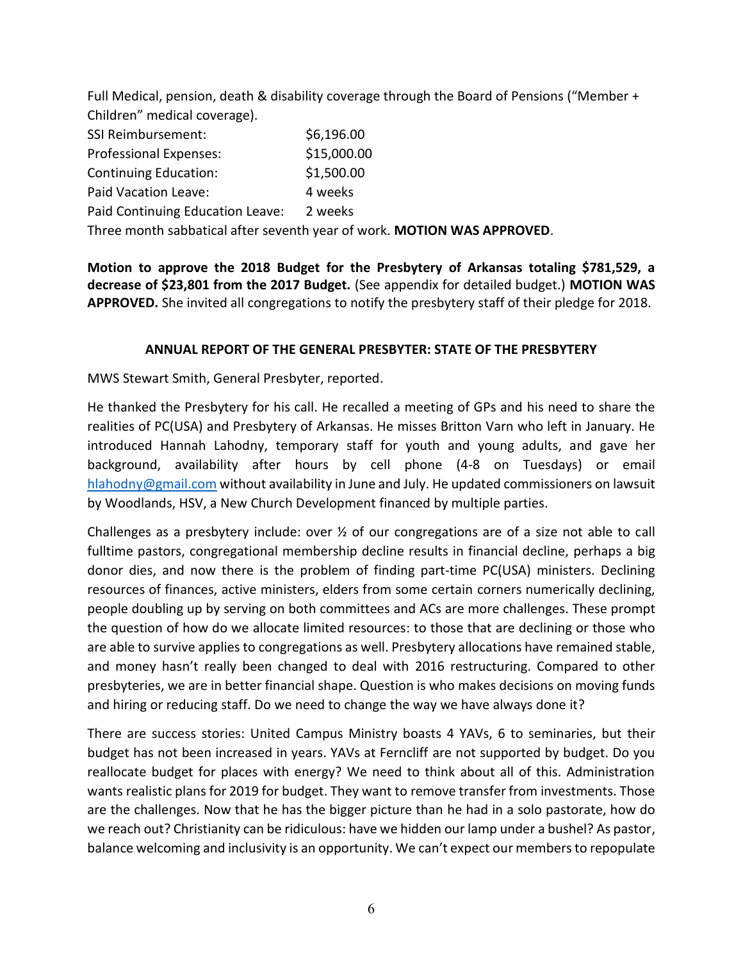Full Medical, pension, death & disability coverage through the Board of Pensions ("Member + Children" medical coverage).

| SSI Reimbursement:               | \$6,196.00  |
|----------------------------------|-------------|
| <b>Professional Expenses:</b>    | \$15,000.00 |
| <b>Continuing Education:</b>     | \$1,500.00  |
| Paid Vacation Leave:             | 4 weeks     |
| Paid Continuing Education Leave: | 2 weeks     |
|                                  |             |

Three month sabbatical after seventh year of work. **MOTION WAS APPROVED**.

**Motion to approve the 2018 Budget for the Presbytery of Arkansas totaling \$781,529, a decrease of \$23,801 from the 2017 Budget.** (See appendix for detailed budget.) **MOTION WAS APPROVED.** She invited all congregations to notify the presbytery staff of their pledge for 2018.

## **ANNUAL REPORT OF THE GENERAL PRESBYTER: STATE OF THE PRESBYTERY**

MWS Stewart Smith, General Presbyter, reported.

He thanked the Presbytery for his call. He recalled a meeting of GPs and his need to share the realities of PC(USA) and Presbytery of Arkansas. He misses Britton Varn who left in January. He introduced Hannah Lahodny, temporary staff for youth and young adults, and gave her background, availability after hours by cell phone (4-8 on Tuesdays) or email [hlahodny@gmail.com](mailto:hlahodny@gmail.com) without availability in June and July. He updated commissioners on lawsuit by Woodlands, HSV, a New Church Development financed by multiple parties.

Challenges as a presbytery include: over ½ of our congregations are of a size not able to call fulltime pastors, congregational membership decline results in financial decline, perhaps a big donor dies, and now there is the problem of finding part-time PC(USA) ministers. Declining resources of finances, active ministers, elders from some certain corners numerically declining, people doubling up by serving on both committees and ACs are more challenges. These prompt the question of how do we allocate limited resources: to those that are declining or those who are able to survive applies to congregations as well. Presbytery allocations have remained stable, and money hasn't really been changed to deal with 2016 restructuring. Compared to other presbyteries, we are in better financial shape. Question is who makes decisions on moving funds and hiring or reducing staff. Do we need to change the way we have always done it?

There are success stories: United Campus Ministry boasts 4 YAVs, 6 to seminaries, but their budget has not been increased in years. YAVs at Ferncliff are not supported by budget. Do you reallocate budget for places with energy? We need to think about all of this. Administration wants realistic plans for 2019 for budget. They want to remove transfer from investments. Those are the challenges. Now that he has the bigger picture than he had in a solo pastorate, how do we reach out? Christianity can be ridiculous: have we hidden our lamp under a bushel? As pastor, balance welcoming and inclusivity is an opportunity. We can't expect our membersto repopulate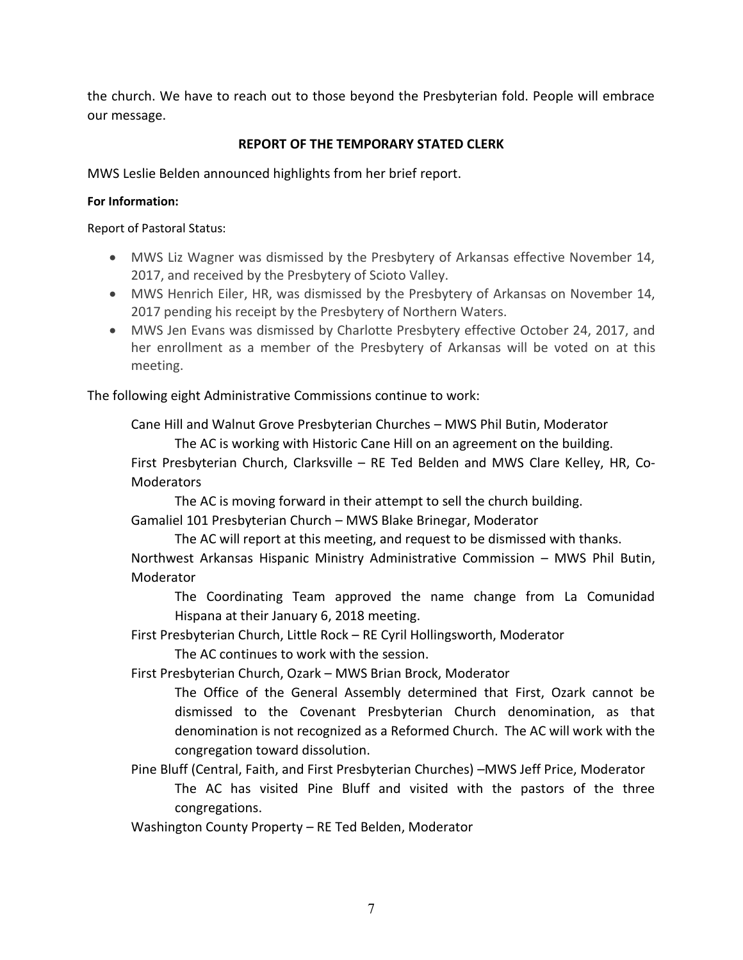the church. We have to reach out to those beyond the Presbyterian fold. People will embrace our message.

## **REPORT OF THE TEMPORARY STATED CLERK**

MWS Leslie Belden announced highlights from her brief report.

### **For Information:**

Report of Pastoral Status:

- MWS Liz Wagner was dismissed by the Presbytery of Arkansas effective November 14, 2017, and received by the Presbytery of Scioto Valley.
- MWS Henrich Eiler, HR, was dismissed by the Presbytery of Arkansas on November 14, 2017 pending his receipt by the Presbytery of Northern Waters.
- MWS Jen Evans was dismissed by Charlotte Presbytery effective October 24, 2017, and her enrollment as a member of the Presbytery of Arkansas will be voted on at this meeting.

The following eight Administrative Commissions continue to work:

Cane Hill and Walnut Grove Presbyterian Churches – MWS Phil Butin, Moderator The AC is working with Historic Cane Hill on an agreement on the building.

First Presbyterian Church, Clarksville – RE Ted Belden and MWS Clare Kelley, HR, Co-**Moderators** 

The AC is moving forward in their attempt to sell the church building. Gamaliel 101 Presbyterian Church – MWS Blake Brinegar, Moderator

The AC will report at this meeting, and request to be dismissed with thanks.

Northwest Arkansas Hispanic Ministry Administrative Commission – MWS Phil Butin, Moderator

The Coordinating Team approved the name change from La Comunidad Hispana at their January 6, 2018 meeting.

First Presbyterian Church, Little Rock – RE Cyril Hollingsworth, Moderator The AC continues to work with the session.

First Presbyterian Church, Ozark – MWS Brian Brock, Moderator

The Office of the General Assembly determined that First, Ozark cannot be dismissed to the Covenant Presbyterian Church denomination, as that denomination is not recognized as a Reformed Church. The AC will work with the congregation toward dissolution.

Pine Bluff (Central, Faith, and First Presbyterian Churches) –MWS Jeff Price, Moderator The AC has visited Pine Bluff and visited with the pastors of the three congregations.

Washington County Property – RE Ted Belden, Moderator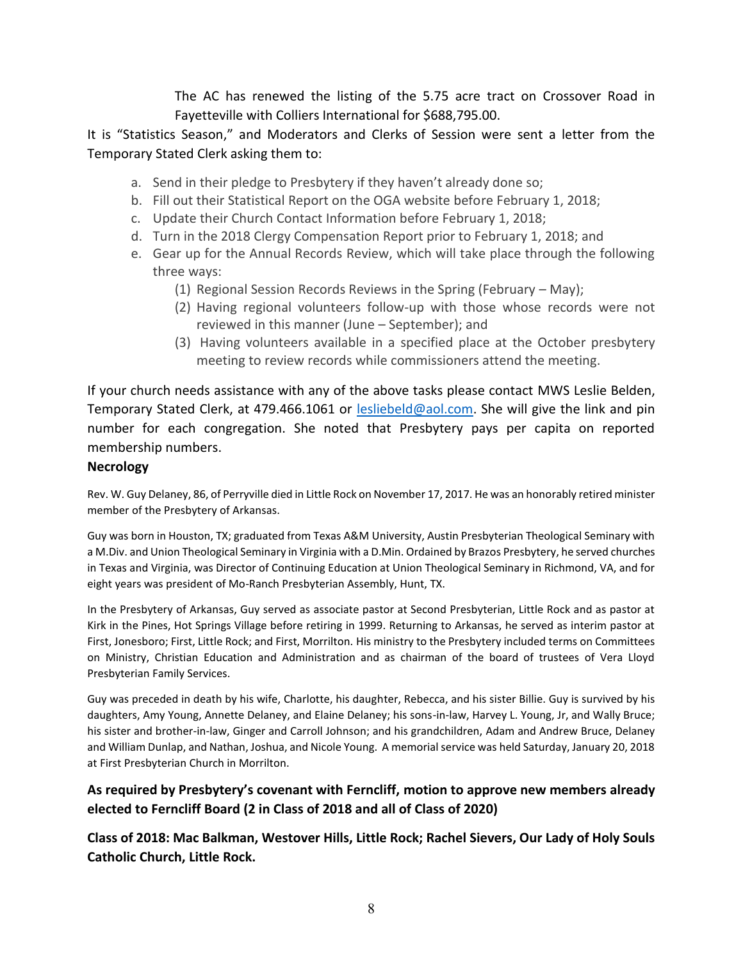The AC has renewed the listing of the 5.75 acre tract on Crossover Road in Fayetteville with Colliers International for \$688,795.00.

It is "Statistics Season," and Moderators and Clerks of Session were sent a letter from the Temporary Stated Clerk asking them to:

- a. Send in their pledge to Presbytery if they haven't already done so;
- b. Fill out their Statistical Report on the OGA website before February 1, 2018;
- c. Update their Church Contact Information before February 1, 2018;
- d. Turn in the 2018 Clergy Compensation Report prior to February 1, 2018; and
- e. Gear up for the Annual Records Review, which will take place through the following three ways:
	- (1) Regional Session Records Reviews in the Spring (February May);
	- (2) Having regional volunteers follow-up with those whose records were not reviewed in this manner (June – September); and
	- (3) Having volunteers available in a specified place at the October presbytery meeting to review records while commissioners attend the meeting.

If your church needs assistance with any of the above tasks please contact MWS Leslie Belden, Temporary Stated Clerk, at 479.466.1061 or [lesliebeld@aol.com.](mailto:lesliebeld@aol.com) She will give the link and pin number for each congregation. She noted that Presbytery pays per capita on reported membership numbers.

## **Necrology**

Rev. W. Guy Delaney, 86, of Perryville died in Little Rock on November 17, 2017. He was an honorably retired minister member of the Presbytery of Arkansas.

Guy was born in Houston, TX; graduated from Texas A&M University, Austin Presbyterian Theological Seminary with a M.Div. and Union Theological Seminary in Virginia with a D.Min. Ordained by Brazos Presbytery, he served churches in Texas and Virginia, was Director of Continuing Education at Union Theological Seminary in Richmond, VA, and for eight years was president of Mo-Ranch Presbyterian Assembly, Hunt, TX.

In the Presbytery of Arkansas, Guy served as associate pastor at Second Presbyterian, Little Rock and as pastor at Kirk in the Pines, Hot Springs Village before retiring in 1999. Returning to Arkansas, he served as interim pastor at First, Jonesboro; First, Little Rock; and First, Morrilton. His ministry to the Presbytery included terms on Committees on Ministry, Christian Education and Administration and as chairman of the board of trustees of Vera Lloyd Presbyterian Family Services.

Guy was preceded in death by his wife, Charlotte, his daughter, Rebecca, and his sister Billie. Guy is survived by his daughters, Amy Young, Annette Delaney, and Elaine Delaney; his sons-in-law, Harvey L. Young, Jr, and Wally Bruce; his sister and brother-in-law, Ginger and Carroll Johnson; and his grandchildren, Adam and Andrew Bruce, Delaney and William Dunlap, and Nathan, Joshua, and Nicole Young. A memorial service was held Saturday, January 20, 2018 at First Presbyterian Church in Morrilton.

## **As required by Presbytery's covenant with Ferncliff, motion to approve new members already elected to Ferncliff Board (2 in Class of 2018 and all of Class of 2020)**

**Class of 2018: Mac Balkman, Westover Hills, Little Rock; Rachel Sievers, Our Lady of Holy Souls Catholic Church, Little Rock.**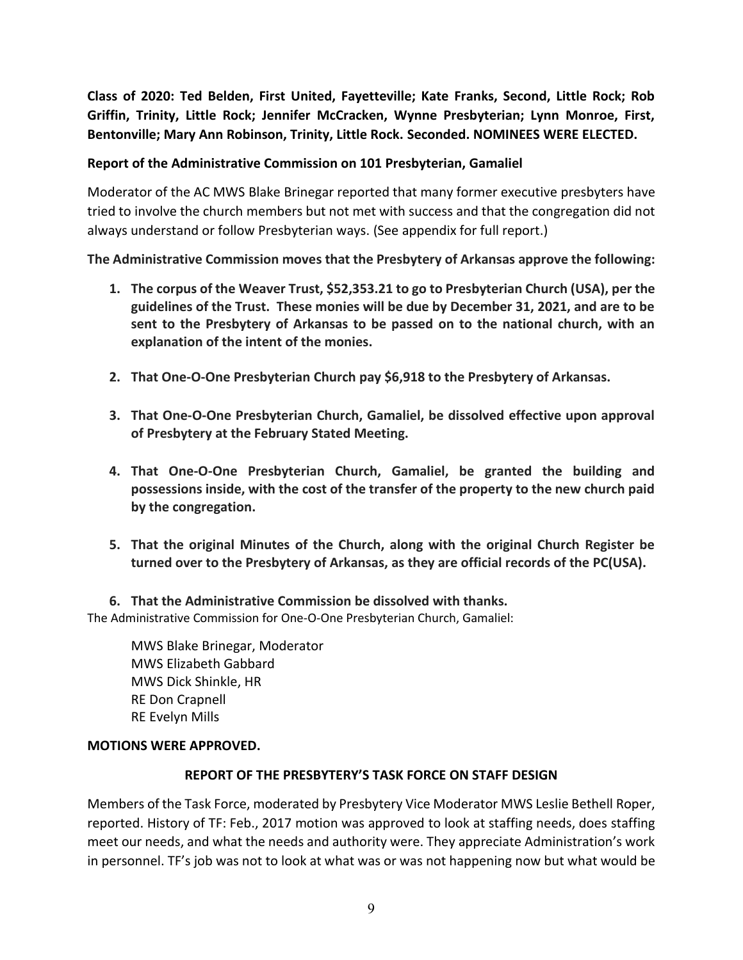**Class of 2020: Ted Belden, First United, Fayetteville; Kate Franks, Second, Little Rock; Rob Griffin, Trinity, Little Rock; Jennifer McCracken, Wynne Presbyterian; Lynn Monroe, First, Bentonville; Mary Ann Robinson, Trinity, Little Rock. Seconded. NOMINEES WERE ELECTED.**

### **Report of the Administrative Commission on 101 Presbyterian, Gamaliel**

Moderator of the AC MWS Blake Brinegar reported that many former executive presbyters have tried to involve the church members but not met with success and that the congregation did not always understand or follow Presbyterian ways. (See appendix for full report.)

**The Administrative Commission moves that the Presbytery of Arkansas approve the following:**

- **1. The corpus of the Weaver Trust, \$52,353.21 to go to Presbyterian Church (USA), per the guidelines of the Trust. These monies will be due by December 31, 2021, and are to be sent to the Presbytery of Arkansas to be passed on to the national church, with an explanation of the intent of the monies.**
- **2. That One-O-One Presbyterian Church pay \$6,918 to the Presbytery of Arkansas.**
- **3. That One-O-One Presbyterian Church, Gamaliel, be dissolved effective upon approval of Presbytery at the February Stated Meeting.**
- **4. That One-O-One Presbyterian Church, Gamaliel, be granted the building and possessions inside, with the cost of the transfer of the property to the new church paid by the congregation.**
- **5. That the original Minutes of the Church, along with the original Church Register be turned over to the Presbytery of Arkansas, as they are official records of the PC(USA).**

**6. That the Administrative Commission be dissolved with thanks.** The Administrative Commission for One-O-One Presbyterian Church, Gamaliel:

MWS Blake Brinegar, Moderator MWS Elizabeth Gabbard MWS Dick Shinkle, HR RE Don Crapnell RE Evelyn Mills

### **MOTIONS WERE APPROVED.**

### **REPORT OF THE PRESBYTERY'S TASK FORCE ON STAFF DESIGN**

Members of the Task Force, moderated by Presbytery Vice Moderator MWS Leslie Bethell Roper, reported. History of TF: Feb., 2017 motion was approved to look at staffing needs, does staffing meet our needs, and what the needs and authority were. They appreciate Administration's work in personnel. TF's job was not to look at what was or was not happening now but what would be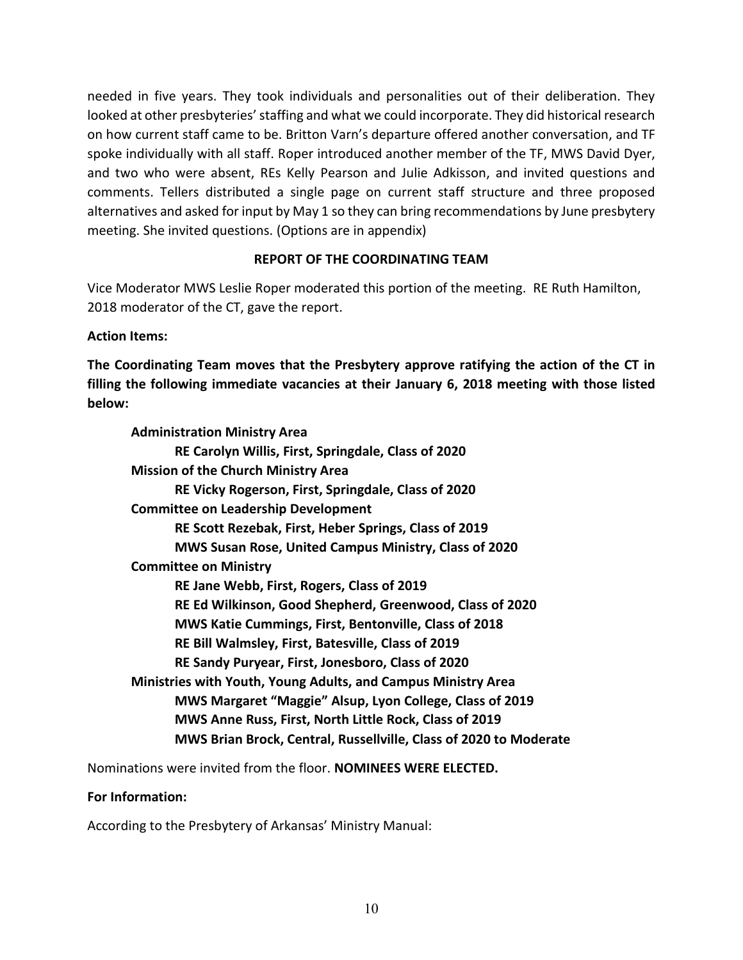needed in five years. They took individuals and personalities out of their deliberation. They looked at other presbyteries' staffing and what we could incorporate. They did historical research on how current staff came to be. Britton Varn's departure offered another conversation, and TF spoke individually with all staff. Roper introduced another member of the TF, MWS David Dyer, and two who were absent, REs Kelly Pearson and Julie Adkisson, and invited questions and comments. Tellers distributed a single page on current staff structure and three proposed alternatives and asked for input by May 1 so they can bring recommendations by June presbytery meeting. She invited questions. (Options are in appendix)

## **REPORT OF THE COORDINATING TEAM**

Vice Moderator MWS Leslie Roper moderated this portion of the meeting. RE Ruth Hamilton, 2018 moderator of the CT, gave the report.

## **Action Items:**

**The Coordinating Team moves that the Presbytery approve ratifying the action of the CT in filling the following immediate vacancies at their January 6, 2018 meeting with those listed below:**

| <b>Administration Ministry Area</b>                                  |
|----------------------------------------------------------------------|
| RE Carolyn Willis, First, Springdale, Class of 2020                  |
| <b>Mission of the Church Ministry Area</b>                           |
| RE Vicky Rogerson, First, Springdale, Class of 2020                  |
| <b>Committee on Leadership Development</b>                           |
| RE Scott Rezebak, First, Heber Springs, Class of 2019                |
| MWS Susan Rose, United Campus Ministry, Class of 2020                |
| <b>Committee on Ministry</b>                                         |
| RE Jane Webb, First, Rogers, Class of 2019                           |
| RE Ed Wilkinson, Good Shepherd, Greenwood, Class of 2020             |
| MWS Katie Cummings, First, Bentonville, Class of 2018                |
| RE Bill Walmsley, First, Batesville, Class of 2019                   |
| RE Sandy Puryear, First, Jonesboro, Class of 2020                    |
| <b>Ministries with Youth, Young Adults, and Campus Ministry Area</b> |
| MWS Margaret "Maggie" Alsup, Lyon College, Class of 2019             |
| MWS Anne Russ, First, North Little Rock, Class of 2019               |
| MWS Brian Brock, Central, Russellville, Class of 2020 to Moderate    |
|                                                                      |

Nominations were invited from the floor. **NOMINEES WERE ELECTED.** 

### **For Information:**

According to the Presbytery of Arkansas' Ministry Manual: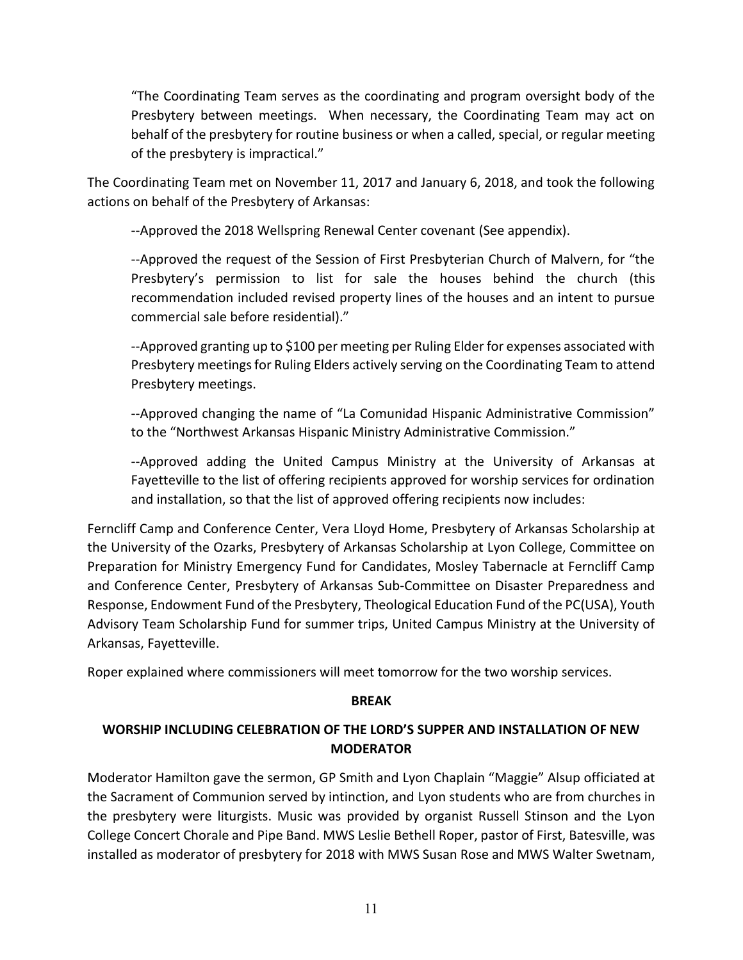"The Coordinating Team serves as the coordinating and program oversight body of the Presbytery between meetings. When necessary, the Coordinating Team may act on behalf of the presbytery for routine business or when a called, special, or regular meeting of the presbytery is impractical."

The Coordinating Team met on November 11, 2017 and January 6, 2018, and took the following actions on behalf of the Presbytery of Arkansas:

--Approved the 2018 Wellspring Renewal Center covenant (See appendix).

--Approved the request of the Session of First Presbyterian Church of Malvern, for "the Presbytery's permission to list for sale the houses behind the church (this recommendation included revised property lines of the houses and an intent to pursue commercial sale before residential)."

--Approved granting up to \$100 per meeting per Ruling Elder for expenses associated with Presbytery meetings for Ruling Elders actively serving on the Coordinating Team to attend Presbytery meetings.

--Approved changing the name of "La Comunidad Hispanic Administrative Commission" to the "Northwest Arkansas Hispanic Ministry Administrative Commission."

--Approved adding the United Campus Ministry at the University of Arkansas at Fayetteville to the list of offering recipients approved for worship services for ordination and installation, so that the list of approved offering recipients now includes:

Ferncliff Camp and Conference Center, Vera Lloyd Home, Presbytery of Arkansas Scholarship at the University of the Ozarks, Presbytery of Arkansas Scholarship at Lyon College, Committee on Preparation for Ministry Emergency Fund for Candidates, Mosley Tabernacle at Ferncliff Camp and Conference Center, Presbytery of Arkansas Sub-Committee on Disaster Preparedness and Response, Endowment Fund of the Presbytery, Theological Education Fund of the PC(USA), Youth Advisory Team Scholarship Fund for summer trips, United Campus Ministry at the University of Arkansas, Fayetteville.

Roper explained where commissioners will meet tomorrow for the two worship services.

## **BREAK**

# **WORSHIP INCLUDING CELEBRATION OF THE LORD'S SUPPER AND INSTALLATION OF NEW MODERATOR**

Moderator Hamilton gave the sermon, GP Smith and Lyon Chaplain "Maggie" Alsup officiated at the Sacrament of Communion served by intinction, and Lyon students who are from churches in the presbytery were liturgists. Music was provided by organist Russell Stinson and the Lyon College Concert Chorale and Pipe Band. MWS Leslie Bethell Roper, pastor of First, Batesville, was installed as moderator of presbytery for 2018 with MWS Susan Rose and MWS Walter Swetnam,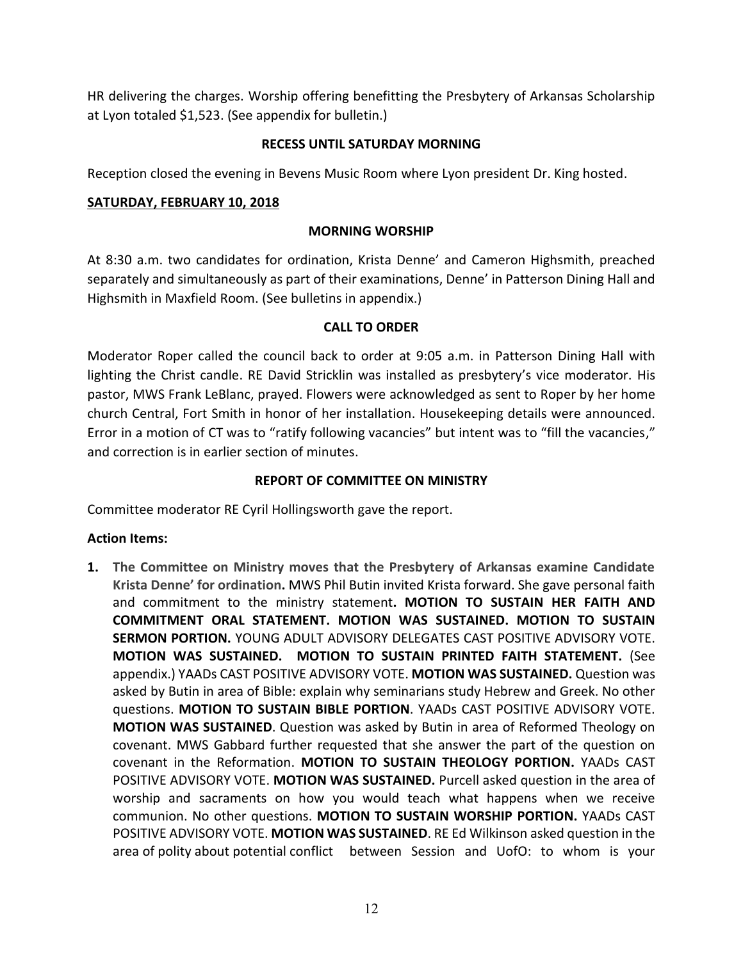HR delivering the charges. Worship offering benefitting the Presbytery of Arkansas Scholarship at Lyon totaled \$1,523. (See appendix for bulletin.)

### **RECESS UNTIL SATURDAY MORNING**

Reception closed the evening in Bevens Music Room where Lyon president Dr. King hosted.

### **SATURDAY, FEBRUARY 10, 2018**

### **MORNING WORSHIP**

At 8:30 a.m. two candidates for ordination, Krista Denne' and Cameron Highsmith, preached separately and simultaneously as part of their examinations, Denne' in Patterson Dining Hall and Highsmith in Maxfield Room. (See bulletins in appendix.)

## **CALL TO ORDER**

Moderator Roper called the council back to order at 9:05 a.m. in Patterson Dining Hall with lighting the Christ candle. RE David Stricklin was installed as presbytery's vice moderator. His pastor, MWS Frank LeBlanc, prayed. Flowers were acknowledged as sent to Roper by her home church Central, Fort Smith in honor of her installation. Housekeeping details were announced. Error in a motion of CT was to "ratify following vacancies" but intent was to "fill the vacancies," and correction is in earlier section of minutes.

### **REPORT OF COMMITTEE ON MINISTRY**

Committee moderator RE Cyril Hollingsworth gave the report.

## **Action Items:**

**1. The Committee on Ministry moves that the Presbytery of Arkansas examine Candidate Krista Denne' for ordination.** MWS Phil Butin invited Krista forward. She gave personal faith and commitment to the ministry statement**. MOTION TO SUSTAIN HER FAITH AND COMMITMENT ORAL STATEMENT. MOTION WAS SUSTAINED. MOTION TO SUSTAIN SERMON PORTION.** YOUNG ADULT ADVISORY DELEGATES CAST POSITIVE ADVISORY VOTE. **MOTION WAS SUSTAINED. MOTION TO SUSTAIN PRINTED FAITH STATEMENT.** (See appendix.) YAADs CAST POSITIVE ADVISORY VOTE. **MOTION WAS SUSTAINED.** Question was asked by Butin in area of Bible: explain why seminarians study Hebrew and Greek. No other questions. **MOTION TO SUSTAIN BIBLE PORTION**. YAADs CAST POSITIVE ADVISORY VOTE. **MOTION WAS SUSTAINED**. Question was asked by Butin in area of Reformed Theology on covenant. MWS Gabbard further requested that she answer the part of the question on covenant in the Reformation. **MOTION TO SUSTAIN THEOLOGY PORTION.** YAADs CAST POSITIVE ADVISORY VOTE. **MOTION WAS SUSTAINED.** Purcell asked question in the area of worship and sacraments on how you would teach what happens when we receive communion. No other questions. **MOTION TO SUSTAIN WORSHIP PORTION.** YAADs CAST POSITIVE ADVISORY VOTE. **MOTION WAS SUSTAINED**. RE Ed Wilkinson asked question in the area of polity about potential conflict between Session and UofO: to whom is your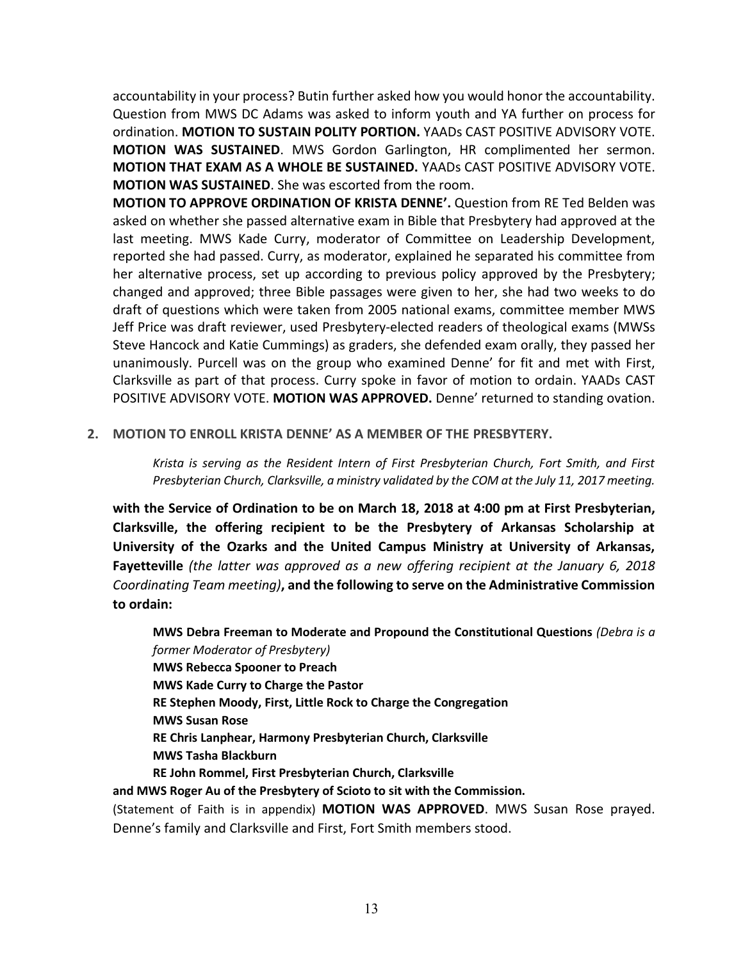accountability in your process? Butin further asked how you would honor the accountability. Question from MWS DC Adams was asked to inform youth and YA further on process for ordination. **MOTION TO SUSTAIN POLITY PORTION.** YAADs CAST POSITIVE ADVISORY VOTE. **MOTION WAS SUSTAINED**. MWS Gordon Garlington, HR complimented her sermon. **MOTION THAT EXAM AS A WHOLE BE SUSTAINED.** YAADs CAST POSITIVE ADVISORY VOTE. **MOTION WAS SUSTAINED**. She was escorted from the room.

**MOTION TO APPROVE ORDINATION OF KRISTA DENNE'.** Question from RE Ted Belden was asked on whether she passed alternative exam in Bible that Presbytery had approved at the last meeting. MWS Kade Curry, moderator of Committee on Leadership Development, reported she had passed. Curry, as moderator, explained he separated his committee from her alternative process, set up according to previous policy approved by the Presbytery; changed and approved; three Bible passages were given to her, she had two weeks to do draft of questions which were taken from 2005 national exams, committee member MWS Jeff Price was draft reviewer, used Presbytery-elected readers of theological exams (MWSs Steve Hancock and Katie Cummings) as graders, she defended exam orally, they passed her unanimously. Purcell was on the group who examined Denne' for fit and met with First, Clarksville as part of that process. Curry spoke in favor of motion to ordain. YAADs CAST POSITIVE ADVISORY VOTE. **MOTION WAS APPROVED.** Denne' returned to standing ovation.

**2. MOTION TO ENROLL KRISTA DENNE' AS A MEMBER OF THE PRESBYTERY.**

*Krista is serving as the Resident Intern of First Presbyterian Church, Fort Smith, and First Presbyterian Church, Clarksville, a ministry validated by the COM at the July 11, 2017 meeting.*

**with the Service of Ordination to be on March 18, 2018 at 4:00 pm at First Presbyterian, Clarksville, the offering recipient to be the Presbytery of Arkansas Scholarship at University of the Ozarks and the United Campus Ministry at University of Arkansas, Fayetteville** *(the latter was approved as a new offering recipient at the January 6, 2018 Coordinating Team meeting)***, and the following to serve on the Administrative Commission to ordain:**

**MWS Debra Freeman to Moderate and Propound the Constitutional Questions** *(Debra is a former Moderator of Presbytery)* **MWS Rebecca Spooner to Preach MWS Kade Curry to Charge the Pastor RE Stephen Moody, First, Little Rock to Charge the Congregation MWS Susan Rose RE Chris Lanphear, Harmony Presbyterian Church, Clarksville MWS Tasha Blackburn RE John Rommel, First Presbyterian Church, Clarksville and MWS Roger Au of the Presbytery of Scioto to sit with the Commission.**

(Statement of Faith is in appendix) **MOTION WAS APPROVED**. MWS Susan Rose prayed. Denne's family and Clarksville and First, Fort Smith members stood.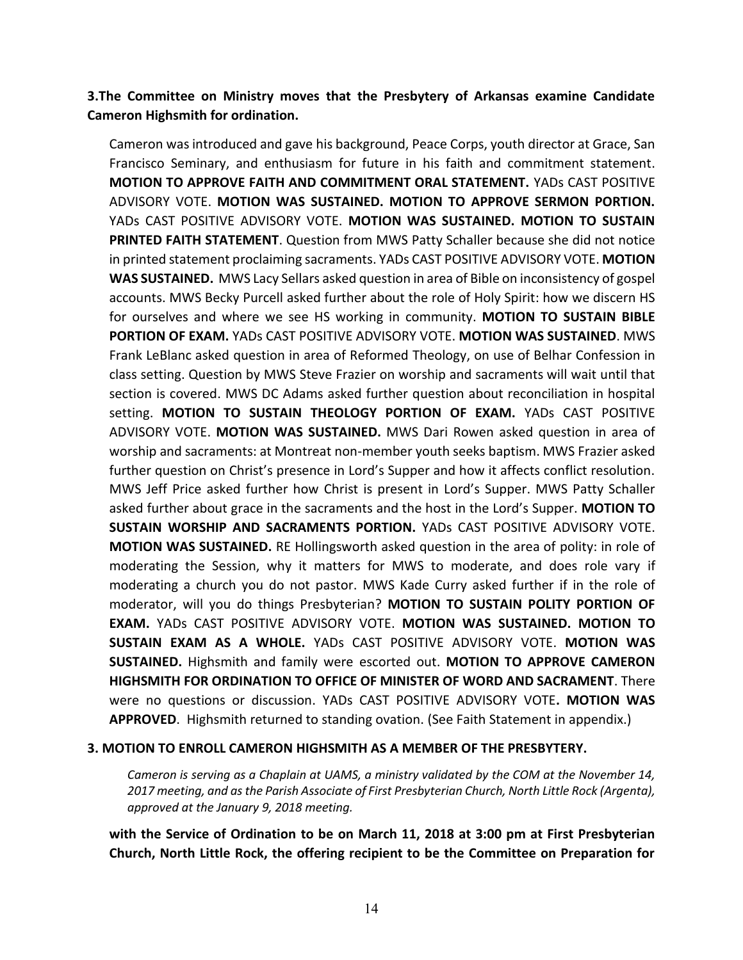## **3.The Committee on Ministry moves that the Presbytery of Arkansas examine Candidate Cameron Highsmith for ordination.**

Cameron was introduced and gave his background, Peace Corps, youth director at Grace, San Francisco Seminary, and enthusiasm for future in his faith and commitment statement. **MOTION TO APPROVE FAITH AND COMMITMENT ORAL STATEMENT.** YADs CAST POSITIVE ADVISORY VOTE. **MOTION WAS SUSTAINED. MOTION TO APPROVE SERMON PORTION.** YADs CAST POSITIVE ADVISORY VOTE. **MOTION WAS SUSTAINED. MOTION TO SUSTAIN PRINTED FAITH STATEMENT**. Question from MWS Patty Schaller because she did not notice in printed statement proclaiming sacraments. YADs CAST POSITIVE ADVISORY VOTE. **MOTION WAS SUSTAINED.** MWS Lacy Sellars asked question in area of Bible on inconsistency of gospel accounts. MWS Becky Purcell asked further about the role of Holy Spirit: how we discern HS for ourselves and where we see HS working in community. **MOTION TO SUSTAIN BIBLE PORTION OF EXAM.** YADs CAST POSITIVE ADVISORY VOTE. **MOTION WAS SUSTAINED**. MWS Frank LeBlanc asked question in area of Reformed Theology, on use of Belhar Confession in class setting. Question by MWS Steve Frazier on worship and sacraments will wait until that section is covered. MWS DC Adams asked further question about reconciliation in hospital setting. **MOTION TO SUSTAIN THEOLOGY PORTION OF EXAM.** YADs CAST POSITIVE ADVISORY VOTE. **MOTION WAS SUSTAINED.** MWS Dari Rowen asked question in area of worship and sacraments: at Montreat non-member youth seeks baptism. MWS Frazier asked further question on Christ's presence in Lord's Supper and how it affects conflict resolution. MWS Jeff Price asked further how Christ is present in Lord's Supper. MWS Patty Schaller asked further about grace in the sacraments and the host in the Lord's Supper. **MOTION TO SUSTAIN WORSHIP AND SACRAMENTS PORTION.** YADs CAST POSITIVE ADVISORY VOTE. **MOTION WAS SUSTAINED.** RE Hollingsworth asked question in the area of polity: in role of moderating the Session, why it matters for MWS to moderate, and does role vary if moderating a church you do not pastor. MWS Kade Curry asked further if in the role of moderator, will you do things Presbyterian? **MOTION TO SUSTAIN POLITY PORTION OF EXAM.** YADs CAST POSITIVE ADVISORY VOTE. **MOTION WAS SUSTAINED. MOTION TO SUSTAIN EXAM AS A WHOLE.** YADs CAST POSITIVE ADVISORY VOTE. **MOTION WAS SUSTAINED.** Highsmith and family were escorted out. **MOTION TO APPROVE CAMERON HIGHSMITH FOR ORDINATION TO OFFICE OF MINISTER OF WORD AND SACRAMENT**. There were no questions or discussion. YADs CAST POSITIVE ADVISORY VOTE**. MOTION WAS APPROVED**. Highsmith returned to standing ovation. (See Faith Statement in appendix.)

#### **3. MOTION TO ENROLL CAMERON HIGHSMITH AS A MEMBER OF THE PRESBYTERY.**

*Cameron is serving as a Chaplain at UAMS, a ministry validated by the COM at the November 14, 2017 meeting, and as the Parish Associate of First Presbyterian Church, North Little Rock (Argenta), approved at the January 9, 2018 meeting.*

**with the Service of Ordination to be on March 11, 2018 at 3:00 pm at First Presbyterian Church, North Little Rock, the offering recipient to be the Committee on Preparation for**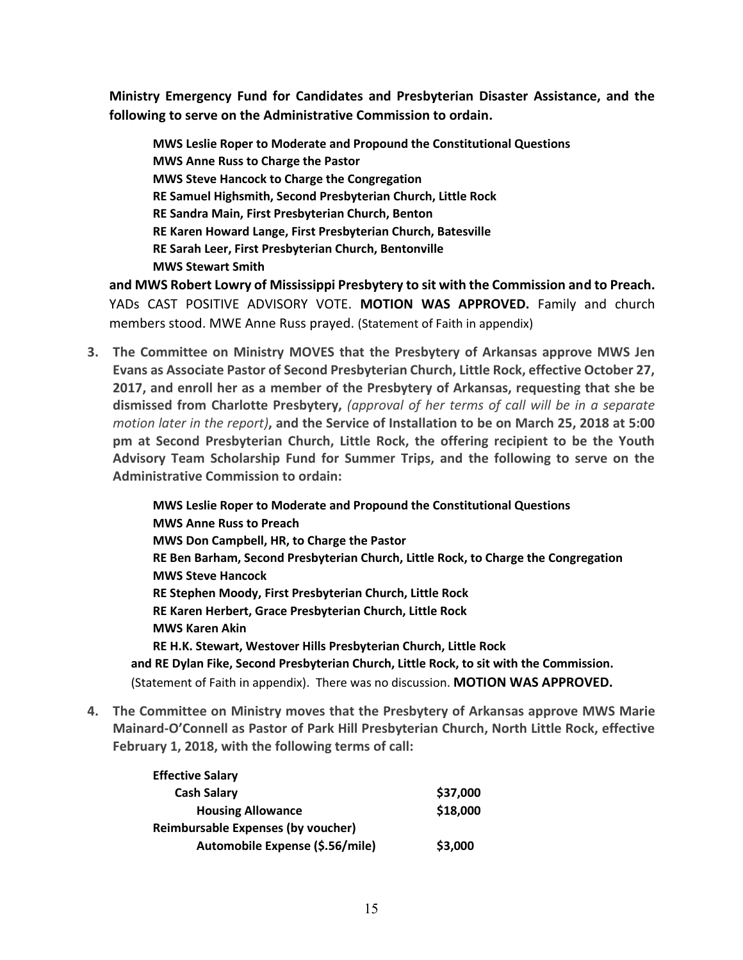**Ministry Emergency Fund for Candidates and Presbyterian Disaster Assistance, and the following to serve on the Administrative Commission to ordain.** 

**MWS Leslie Roper to Moderate and Propound the Constitutional Questions MWS Anne Russ to Charge the Pastor MWS Steve Hancock to Charge the Congregation RE Samuel Highsmith, Second Presbyterian Church, Little Rock RE Sandra Main, First Presbyterian Church, Benton RE Karen Howard Lange, First Presbyterian Church, Batesville RE Sarah Leer, First Presbyterian Church, Bentonville MWS Stewart Smith**

**and MWS Robert Lowry of Mississippi Presbytery to sit with the Commission and to Preach.** YADs CAST POSITIVE ADVISORY VOTE. **MOTION WAS APPROVED.** Family and church members stood. MWE Anne Russ prayed. (Statement of Faith in appendix)

**3. The Committee on Ministry MOVES that the Presbytery of Arkansas approve MWS Jen Evans as Associate Pastor of Second Presbyterian Church, Little Rock, effective October 27, 2017, and enroll her as a member of the Presbytery of Arkansas, requesting that she be dismissed from Charlotte Presbytery,** *(approval of her terms of call will be in a separate motion later in the report)***, and the Service of Installation to be on March 25, 2018 at 5:00 pm at Second Presbyterian Church, Little Rock, the offering recipient to be the Youth Advisory Team Scholarship Fund for Summer Trips, and the following to serve on the Administrative Commission to ordain:**

**MWS Leslie Roper to Moderate and Propound the Constitutional Questions MWS Anne Russ to Preach MWS Don Campbell, HR, to Charge the Pastor RE Ben Barham, Second Presbyterian Church, Little Rock, to Charge the Congregation MWS Steve Hancock RE Stephen Moody, First Presbyterian Church, Little Rock RE Karen Herbert, Grace Presbyterian Church, Little Rock MWS Karen Akin RE H.K. Stewart, Westover Hills Presbyterian Church, Little Rock and RE Dylan Fike, Second Presbyterian Church, Little Rock, to sit with the Commission.** (Statement of Faith in appendix). There was no discussion. **MOTION WAS APPROVED.** 

**4. The Committee on Ministry moves that the Presbytery of Arkansas approve MWS Marie Mainard-O'Connell as Pastor of Park Hill Presbyterian Church, North Little Rock, effective February 1, 2018, with the following terms of call:**

| \$37,000 |
|----------|
| \$18,000 |
|          |
| \$3,000  |
|          |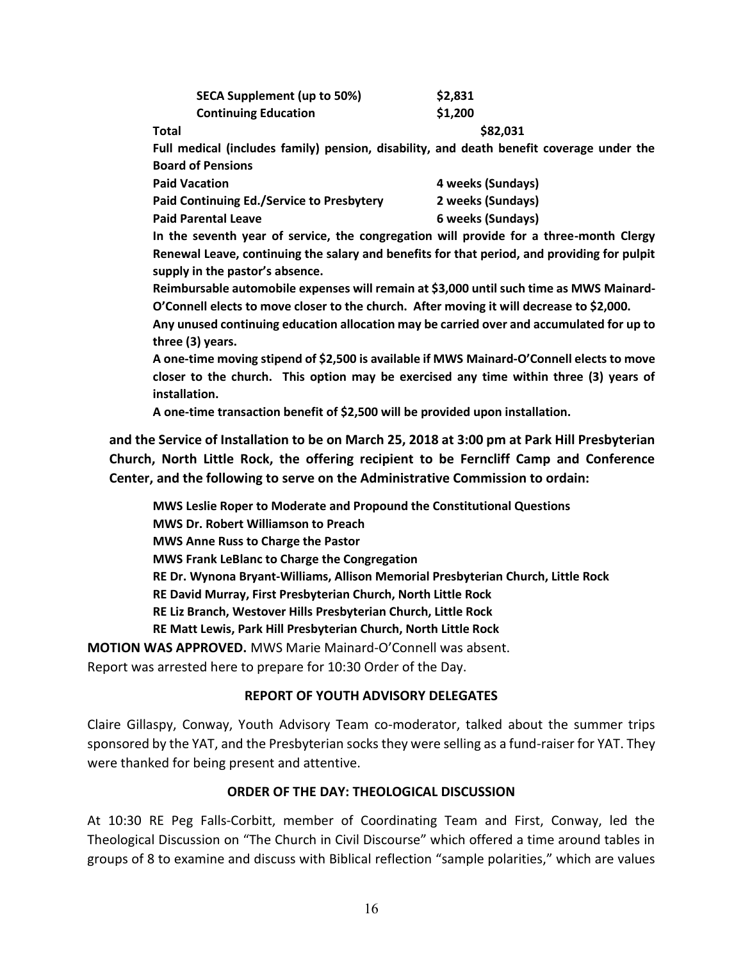| <b>SECA Supplement (up to 50%)</b> | \$2,831 |
|------------------------------------|---------|
| <b>Continuing Education</b>        | \$1,200 |

**Total \$82,031**

**Full medical (includes family) pension, disability, and death benefit coverage under the Board of Pensions**

| <b>Paid Vacation</b>                      | 4 weeks (Sundays) |
|-------------------------------------------|-------------------|
| Paid Continuing Ed./Service to Presbytery | 2 weeks (Sundays) |
| <b>Paid Parental Leave</b>                | 6 weeks (Sundays) |

**In the seventh year of service, the congregation will provide for a three-month Clergy Renewal Leave, continuing the salary and benefits for that period, and providing for pulpit supply in the pastor's absence.**

**Reimbursable automobile expenses will remain at \$3,000 until such time as MWS Mainard-O'Connell elects to move closer to the church. After moving it will decrease to \$2,000.**

**Any unused continuing education allocation may be carried over and accumulated for up to three (3) years.**

**A one-time moving stipend of \$2,500 is available if MWS Mainard-O'Connell elects to move closer to the church. This option may be exercised any time within three (3) years of installation.**

**A one-time transaction benefit of \$2,500 will be provided upon installation.**

**and the Service of Installation to be on March 25, 2018 at 3:00 pm at Park Hill Presbyterian Church, North Little Rock, the offering recipient to be Ferncliff Camp and Conference Center, and the following to serve on the Administrative Commission to ordain:**

**MWS Leslie Roper to Moderate and Propound the Constitutional Questions MWS Dr. Robert Williamson to Preach MWS Anne Russ to Charge the Pastor MWS Frank LeBlanc to Charge the Congregation RE Dr. Wynona Bryant-Williams, Allison Memorial Presbyterian Church, Little Rock RE David Murray, First Presbyterian Church, North Little Rock RE Liz Branch, Westover Hills Presbyterian Church, Little Rock RE Matt Lewis, Park Hill Presbyterian Church, North Little Rock MOTION WAS APPROVED.** MWS Marie Mainard-O'Connell was absent.

Report was arrested here to prepare for 10:30 Order of the Day.

### **REPORT OF YOUTH ADVISORY DELEGATES**

Claire Gillaspy, Conway, Youth Advisory Team co-moderator, talked about the summer trips sponsored by the YAT, and the Presbyterian socks they were selling as a fund-raiser for YAT. They were thanked for being present and attentive.

### **ORDER OF THE DAY: THEOLOGICAL DISCUSSION**

At 10:30 RE Peg Falls-Corbitt, member of Coordinating Team and First, Conway, led the Theological Discussion on "The Church in Civil Discourse" which offered a time around tables in groups of 8 to examine and discuss with Biblical reflection "sample polarities," which are values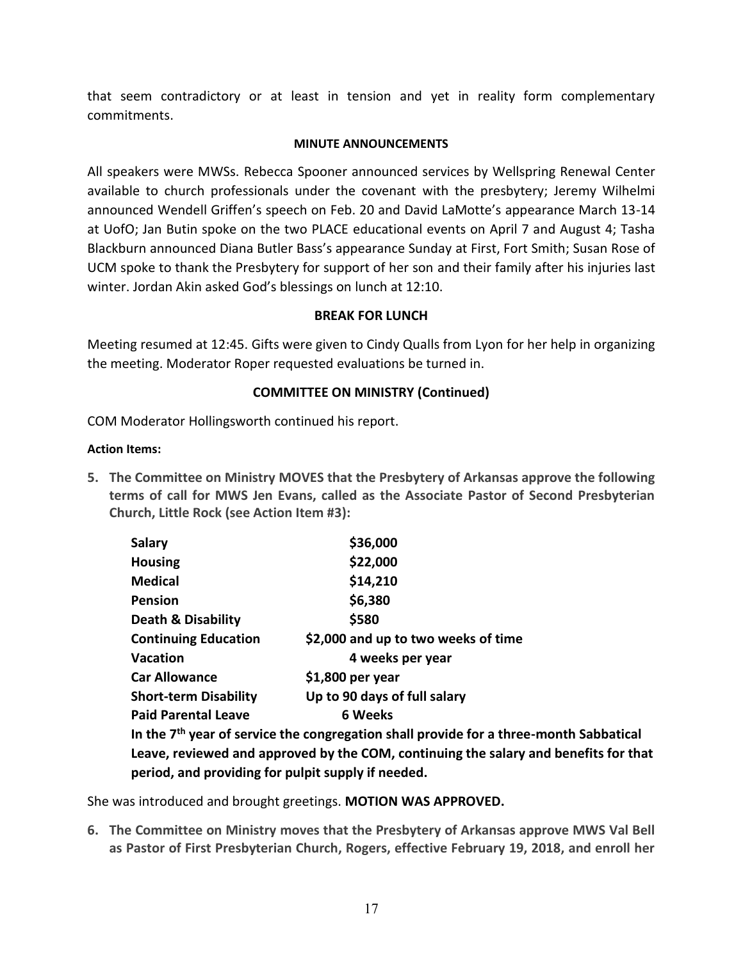that seem contradictory or at least in tension and yet in reality form complementary commitments.

### **MINUTE ANNOUNCEMENTS**

All speakers were MWSs. Rebecca Spooner announced services by Wellspring Renewal Center available to church professionals under the covenant with the presbytery; Jeremy Wilhelmi announced Wendell Griffen's speech on Feb. 20 and David LaMotte's appearance March 13-14 at UofO; Jan Butin spoke on the two PLACE educational events on April 7 and August 4; Tasha Blackburn announced Diana Butler Bass's appearance Sunday at First, Fort Smith; Susan Rose of UCM spoke to thank the Presbytery for support of her son and their family after his injuries last winter. Jordan Akin asked God's blessings on lunch at 12:10.

### **BREAK FOR LUNCH**

Meeting resumed at 12:45. Gifts were given to Cindy Qualls from Lyon for her help in organizing the meeting. Moderator Roper requested evaluations be turned in.

### **COMMITTEE ON MINISTRY (Continued)**

COM Moderator Hollingsworth continued his report.

#### **Action Items:**

**5. The Committee on Ministry MOVES that the Presbytery of Arkansas approve the following terms of call for MWS Jen Evans, called as the Associate Pastor of Second Presbyterian Church, Little Rock (see Action Item #3):**

| \$36,000                                                                            |  |  |
|-------------------------------------------------------------------------------------|--|--|
| \$22,000                                                                            |  |  |
| \$14,210                                                                            |  |  |
| \$6,380                                                                             |  |  |
| \$580                                                                               |  |  |
| \$2,000 and up to two weeks of time                                                 |  |  |
| 4 weeks per year                                                                    |  |  |
| $$1,800$ per year                                                                   |  |  |
| Up to 90 days of full salary                                                        |  |  |
| 6 Weeks                                                                             |  |  |
| In the 7 <sup>th</sup> year of service the congregation shall provide for a three-m |  |  |
|                                                                                     |  |  |

**In onth Sabbatical Leave, reviewed and approved by the COM, continuing the salary and benefits for that period, and providing for pulpit supply if needed.**

She was introduced and brought greetings. **MOTION WAS APPROVED.**

**6. The Committee on Ministry moves that the Presbytery of Arkansas approve MWS Val Bell as Pastor of First Presbyterian Church, Rogers, effective February 19, 2018, and enroll her**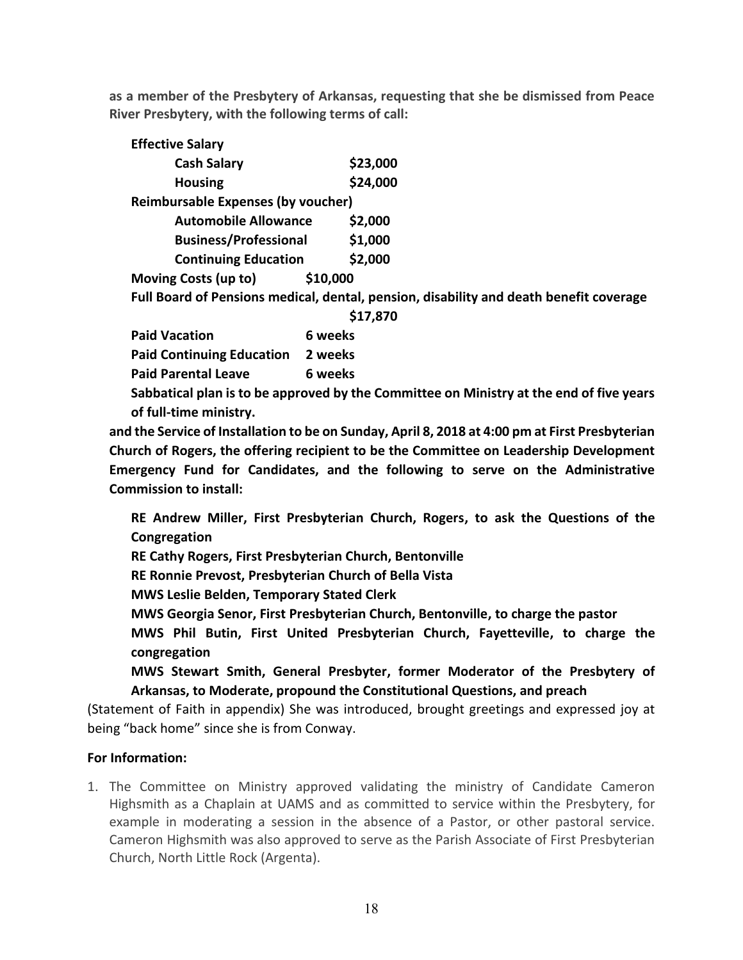**as a member of the Presbytery of Arkansas, requesting that she be dismissed from Peace River Presbytery, with the following terms of call:**

| <b>Effective Salary</b>                                                                |          |  |
|----------------------------------------------------------------------------------------|----------|--|
| <b>Cash Salary</b>                                                                     | \$23,000 |  |
| <b>Housing</b>                                                                         | \$24,000 |  |
| <b>Reimbursable Expenses (by voucher)</b>                                              |          |  |
| <b>Automobile Allowance</b>                                                            | \$2,000  |  |
| <b>Business/Professional</b>                                                           | \$1,000  |  |
| <b>Continuing Education</b>                                                            | \$2,000  |  |
| Moving Costs (up to)                                                                   | \$10,000 |  |
| Full Board of Pensions medical, dental, pension, disability and death benefit coverage |          |  |
| \$17,870                                                                               |          |  |
| <b>Paid Vacation</b>                                                                   | 6 weeks  |  |

| Paid Vacation.                           | <b>b</b> weeks |
|------------------------------------------|----------------|
| <b>Paid Continuing Education 2 weeks</b> |                |
| <b>Paid Parental Leave</b>               | 6 weeks        |
|                                          |                |

**Sabbatical plan is to be approved by the Committee on Ministry at the end of five years of full-time ministry.**

**and the Service of Installation to be on Sunday, April 8, 2018 at 4:00 pm at First Presbyterian Church of Rogers, the offering recipient to be the Committee on Leadership Development Emergency Fund for Candidates, and the following to serve on the Administrative Commission to install:**

**RE Andrew Miller, First Presbyterian Church, Rogers, to ask the Questions of the Congregation**

**RE Cathy Rogers, First Presbyterian Church, Bentonville**

**RE Ronnie Prevost, Presbyterian Church of Bella Vista**

**MWS Leslie Belden, Temporary Stated Clerk** 

**MWS Georgia Senor, First Presbyterian Church, Bentonville, to charge the pastor**

**MWS Phil Butin, First United Presbyterian Church, Fayetteville, to charge the congregation**

**MWS Stewart Smith, General Presbyter, former Moderator of the Presbytery of Arkansas, to Moderate, propound the Constitutional Questions, and preach**

(Statement of Faith in appendix) She was introduced, brought greetings and expressed joy at being "back home" since she is from Conway.

## **For Information:**

1. The Committee on Ministry approved validating the ministry of Candidate Cameron Highsmith as a Chaplain at UAMS and as committed to service within the Presbytery, for example in moderating a session in the absence of a Pastor, or other pastoral service. Cameron Highsmith was also approved to serve as the Parish Associate of First Presbyterian Church, North Little Rock (Argenta).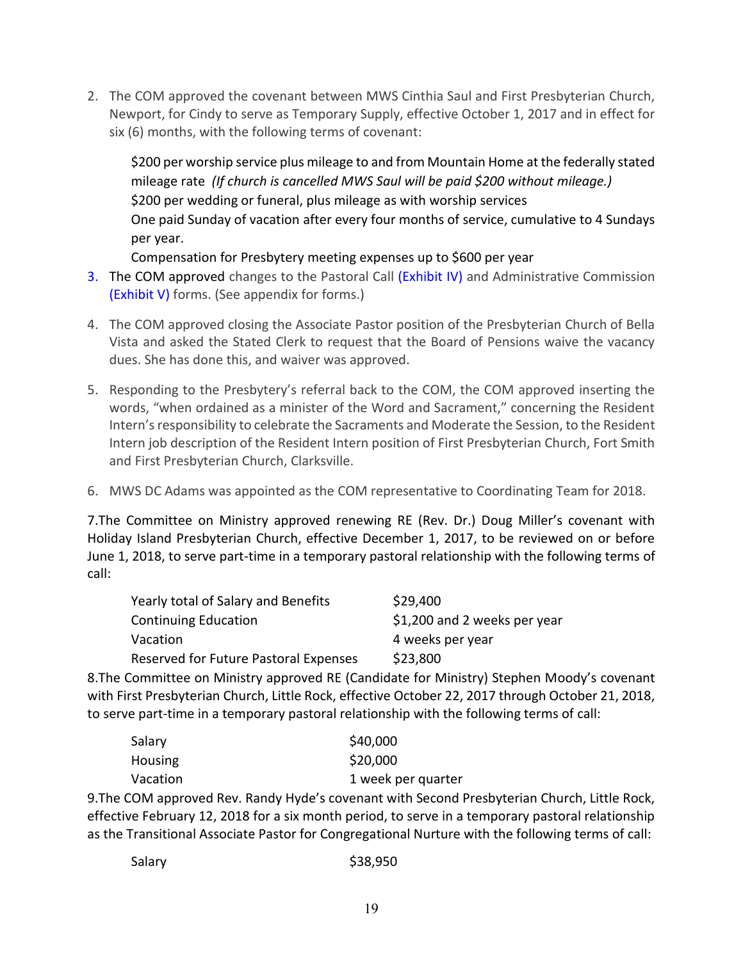2. The COM approved the covenant between MWS Cinthia Saul and First Presbyterian Church, Newport, for Cindy to serve as Temporary Supply, effective October 1, 2017 and in effect for six (6) months, with the following terms of covenant:

\$200 per worship service plus mileage to and from Mountain Home at the federally stated mileage rate *(If church is cancelled MWS Saul will be paid \$200 without mileage.)* \$200 per wedding or funeral, plus mileage as with worship services One paid Sunday of vacation after every four months of service, cumulative to 4 Sundays per year.

Compensation for Presbytery meeting expenses up to \$600 per year

- 3. The COM approved changes to the Pastoral Call (Exhibit IV) and Administrative Commission (Exhibit V) forms. (See appendix for forms.)
- 4. The COM approved closing the Associate Pastor position of the Presbyterian Church of Bella Vista and asked the Stated Clerk to request that the Board of Pensions waive the vacancy dues. She has done this, and waiver was approved.
- 5. Responding to the Presbytery's referral back to the COM, the COM approved inserting the words, "when ordained as a minister of the Word and Sacrament," concerning the Resident Intern's responsibility to celebrate the Sacraments and Moderate the Session, to the Resident Intern job description of the Resident Intern position of First Presbyterian Church, Fort Smith and First Presbyterian Church, Clarksville.
- 6. MWS DC Adams was appointed as the COM representative to Coordinating Team for 2018.

7.The Committee on Ministry approved renewing RE (Rev. Dr.) Doug Miller's covenant with Holiday Island Presbyterian Church, effective December 1, 2017, to be reviewed on or before June 1, 2018, to serve part-time in a temporary pastoral relationship with the following terms of call:

| Yearly total of Salary and Benefits   | \$29,400                     |
|---------------------------------------|------------------------------|
| <b>Continuing Education</b>           | \$1,200 and 2 weeks per year |
| Vacation                              | 4 weeks per year             |
| Reserved for Future Pastoral Expenses | \$23,800                     |

8.The Committee on Ministry approved RE (Candidate for Ministry) Stephen Moody's covenant with First Presbyterian Church, Little Rock, effective October 22, 2017 through October 21, 2018, to serve part-time in a temporary pastoral relationship with the following terms of call:

| Salary   | \$40,000           |
|----------|--------------------|
| Housing  | \$20,000           |
| Vacation | 1 week per quarter |

9.The COM approved Rev. Randy Hyde's covenant with Second Presbyterian Church, Little Rock, effective February 12, 2018 for a six month period, to serve in a temporary pastoral relationship as the Transitional Associate Pastor for Congregational Nurture with the following terms of call: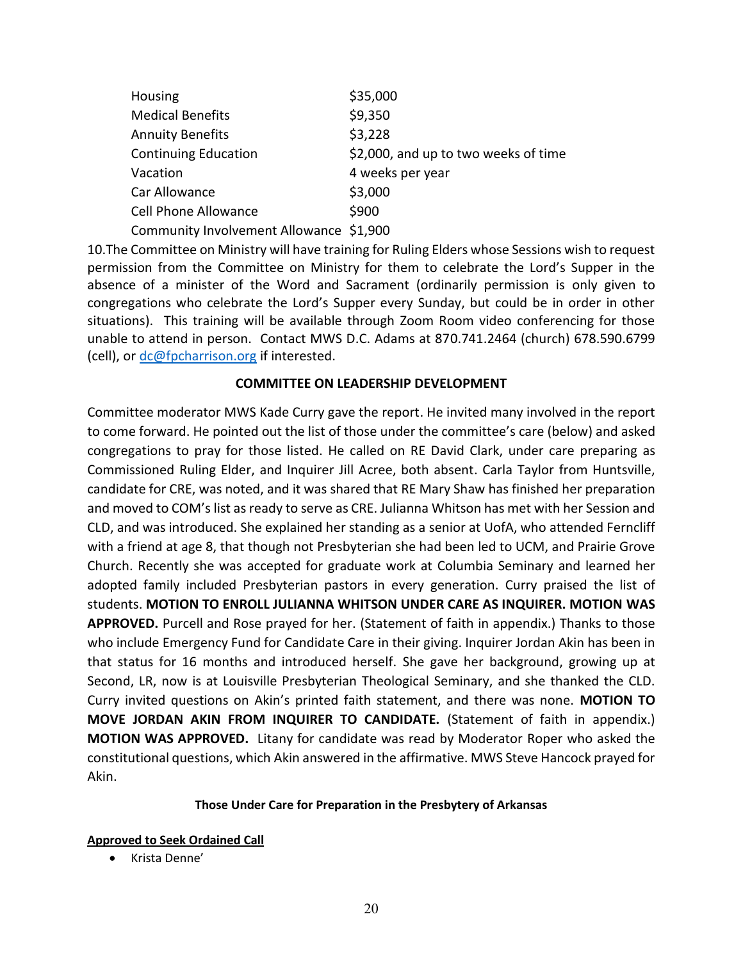| Housing                                 | \$35,000                             |
|-----------------------------------------|--------------------------------------|
| <b>Medical Benefits</b>                 | \$9,350                              |
| <b>Annuity Benefits</b>                 | \$3,228                              |
| <b>Continuing Education</b>             | \$2,000, and up to two weeks of time |
| Vacation                                | 4 weeks per year                     |
| Car Allowance                           | \$3,000                              |
| <b>Cell Phone Allowance</b>             | \$900                                |
| Community Involvement Allowance \$1,900 |                                      |

10.The Committee on Ministry will have training for Ruling Elders whose Sessions wish to request permission from the Committee on Ministry for them to celebrate the Lord's Supper in the absence of a minister of the Word and Sacrament (ordinarily permission is only given to congregations who celebrate the Lord's Supper every Sunday, but could be in order in other situations). This training will be available through Zoom Room video conferencing for those unable to attend in person. Contact MWS D.C. Adams at 870.741.2464 (church) 678.590.6799 (cell), or [dc@fpcharrison.org](mailto:dc@fpcharrison.org) if interested.

### **COMMITTEE ON LEADERSHIP DEVELOPMENT**

Committee moderator MWS Kade Curry gave the report. He invited many involved in the report to come forward. He pointed out the list of those under the committee's care (below) and asked congregations to pray for those listed. He called on RE David Clark, under care preparing as Commissioned Ruling Elder, and Inquirer Jill Acree, both absent. Carla Taylor from Huntsville, candidate for CRE, was noted, and it was shared that RE Mary Shaw has finished her preparation and moved to COM's list as ready to serve as CRE. Julianna Whitson has met with her Session and CLD, and was introduced. She explained her standing as a senior at UofA, who attended Ferncliff with a friend at age 8, that though not Presbyterian she had been led to UCM, and Prairie Grove Church. Recently she was accepted for graduate work at Columbia Seminary and learned her adopted family included Presbyterian pastors in every generation. Curry praised the list of students. **MOTION TO ENROLL JULIANNA WHITSON UNDER CARE AS INQUIRER. MOTION WAS APPROVED.** Purcell and Rose prayed for her. (Statement of faith in appendix.) Thanks to those who include Emergency Fund for Candidate Care in their giving. Inquirer Jordan Akin has been in that status for 16 months and introduced herself. She gave her background, growing up at Second, LR, now is at Louisville Presbyterian Theological Seminary, and she thanked the CLD. Curry invited questions on Akin's printed faith statement, and there was none. **MOTION TO MOVE JORDAN AKIN FROM INQUIRER TO CANDIDATE.** (Statement of faith in appendix.) **MOTION WAS APPROVED.** Litany for candidate was read by Moderator Roper who asked the constitutional questions, which Akin answered in the affirmative. MWS Steve Hancock prayed for Akin.

### **Those Under Care for Preparation in the Presbytery of Arkansas**

### **Approved to Seek Ordained Call**

• Krista Denne'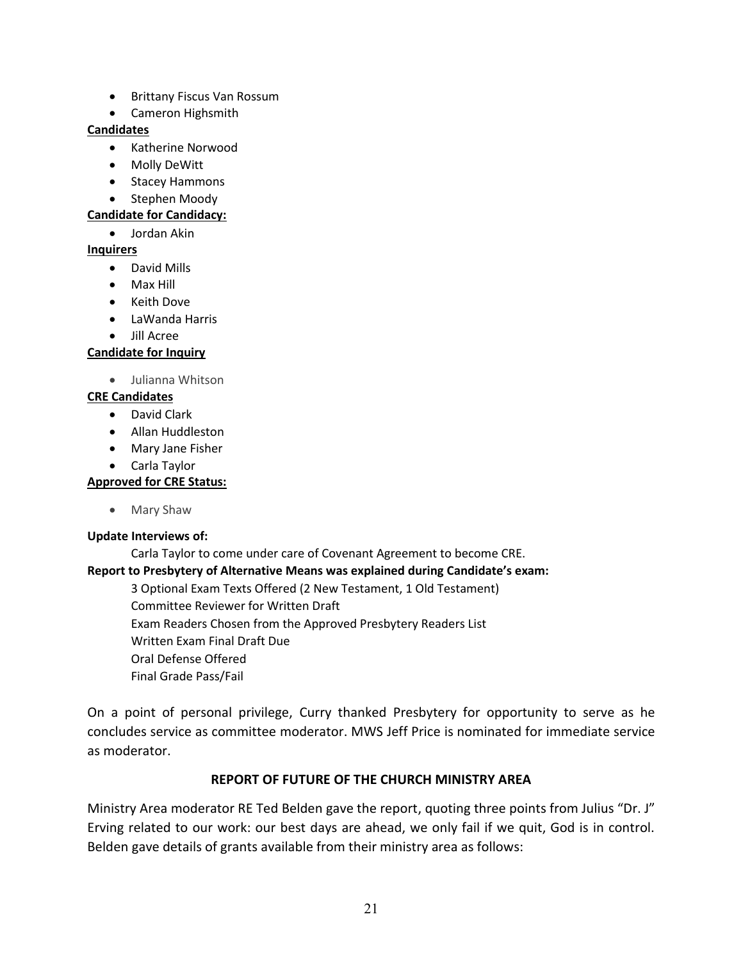- Brittany Fiscus Van Rossum
- Cameron Highsmith

#### **Candidates**

- Katherine Norwood
- Molly DeWitt
- Stacey Hammons
- Stephen Moody

#### **Candidate for Candidacy:**

• Jordan Akin

### **Inquirers**

- David Mills
- Max Hill
- Keith Dove
- LaWanda Harris
- Jill Acree

### **Candidate for Inquiry**

- Julianna Whitson
- **CRE Candidates**
	- David Clark
	- Allan Huddleston
	- Mary Jane Fisher
	- Carla Taylor

### **Approved for CRE Status:**

• Mary Shaw

### **Update Interviews of:**

Carla Taylor to come under care of Covenant Agreement to become CRE.

### **Report to Presbytery of Alternative Means was explained during Candidate's exam:**

3 Optional Exam Texts Offered (2 New Testament, 1 Old Testament) Committee Reviewer for Written Draft Exam Readers Chosen from the Approved Presbytery Readers List Written Exam Final Draft Due Oral Defense Offered Final Grade Pass/Fail

On a point of personal privilege, Curry thanked Presbytery for opportunity to serve as he concludes service as committee moderator. MWS Jeff Price is nominated for immediate service as moderator.

## **REPORT OF FUTURE OF THE CHURCH MINISTRY AREA**

Ministry Area moderator RE Ted Belden gave the report, quoting three points from Julius "Dr. J" Erving related to our work: our best days are ahead, we only fail if we quit, God is in control. Belden gave details of grants available from their ministry area as follows: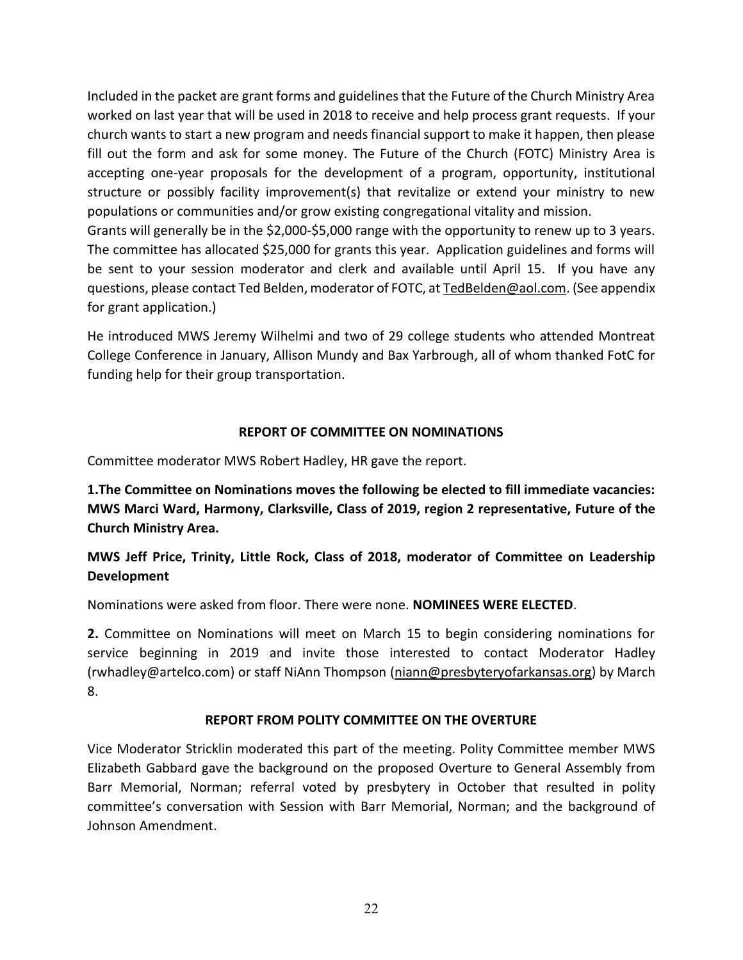Included in the packet are grant forms and guidelines that the Future of the Church Ministry Area worked on last year that will be used in 2018 to receive and help process grant requests. If your church wants to start a new program and needs financial support to make it happen, then please fill out the form and ask for some money. The Future of the Church (FOTC) Ministry Area is accepting one-year proposals for the development of a program, opportunity, institutional structure or possibly facility improvement(s) that revitalize or extend your ministry to new populations or communities and/or grow existing congregational vitality and mission.

Grants will generally be in the \$2,000-\$5,000 range with the opportunity to renew up to 3 years. The committee has allocated \$25,000 for grants this year. Application guidelines and forms will be sent to your session moderator and clerk and available until April 15. If you have any questions, please contact Ted Belden, moderator of FOTC, a[t TedBelden@aol.com.](mailto:TedBelden@aol.com) (See appendix for grant application.)

He introduced MWS Jeremy Wilhelmi and two of 29 college students who attended Montreat College Conference in January, Allison Mundy and Bax Yarbrough, all of whom thanked FotC for funding help for their group transportation.

## **REPORT OF COMMITTEE ON NOMINATIONS**

Committee moderator MWS Robert Hadley, HR gave the report.

**1.The Committee on Nominations moves the following be elected to fill immediate vacancies: MWS Marci Ward, Harmony, Clarksville, Class of 2019, region 2 representative, Future of the Church Ministry Area.**

**MWS Jeff Price, Trinity, Little Rock, Class of 2018, moderator of Committee on Leadership Development**

Nominations were asked from floor. There were none. **NOMINEES WERE ELECTED**.

**2.** Committee on Nominations will meet on March 15 to begin considering nominations for service beginning in 2019 and invite those interested to contact Moderator Hadley (rwhadley@artelco.com) or staff NiAnn Thompson [\(niann@presbyteryofarkansas.org\)](mailto:niann@presbyteryofarkansas.org) by March 8.

## **REPORT FROM POLITY COMMITTEE ON THE OVERTURE**

Vice Moderator Stricklin moderated this part of the meeting. Polity Committee member MWS Elizabeth Gabbard gave the background on the proposed Overture to General Assembly from Barr Memorial, Norman; referral voted by presbytery in October that resulted in polity committee's conversation with Session with Barr Memorial, Norman; and the background of Johnson Amendment.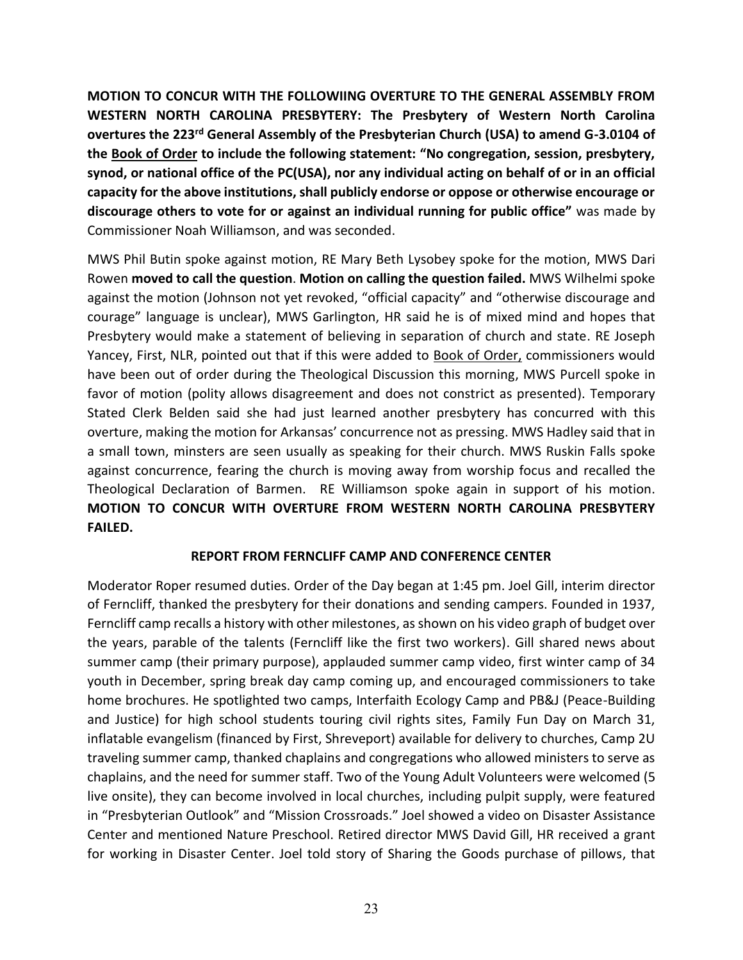**MOTION TO CONCUR WITH THE FOLLOWIING OVERTURE TO THE GENERAL ASSEMBLY FROM WESTERN NORTH CAROLINA PRESBYTERY: The Presbytery of Western North Carolina overtures the 223rd General Assembly of the Presbyterian Church (USA) to amend G-3.0104 of the Book of Order to include the following statement: "No congregation, session, presbytery, synod, or national office of the PC(USA), nor any individual acting on behalf of or in an official capacity for the above institutions, shall publicly endorse or oppose or otherwise encourage or discourage others to vote for or against an individual running for public office"** was made by Commissioner Noah Williamson, and was seconded.

MWS Phil Butin spoke against motion, RE Mary Beth Lysobey spoke for the motion, MWS Dari Rowen **moved to call the question**. **Motion on calling the question failed.** MWS Wilhelmi spoke against the motion (Johnson not yet revoked, "official capacity" and "otherwise discourage and courage" language is unclear), MWS Garlington, HR said he is of mixed mind and hopes that Presbytery would make a statement of believing in separation of church and state. RE Joseph Yancey, First, NLR, pointed out that if this were added to Book of Order, commissioners would have been out of order during the Theological Discussion this morning, MWS Purcell spoke in favor of motion (polity allows disagreement and does not constrict as presented). Temporary Stated Clerk Belden said she had just learned another presbytery has concurred with this overture, making the motion for Arkansas' concurrence not as pressing. MWS Hadley said that in a small town, minsters are seen usually as speaking for their church. MWS Ruskin Falls spoke against concurrence, fearing the church is moving away from worship focus and recalled the Theological Declaration of Barmen. RE Williamson spoke again in support of his motion. **MOTION TO CONCUR WITH OVERTURE FROM WESTERN NORTH CAROLINA PRESBYTERY FAILED.**

### **REPORT FROM FERNCLIFF CAMP AND CONFERENCE CENTER**

Moderator Roper resumed duties. Order of the Day began at 1:45 pm. Joel Gill, interim director of Ferncliff, thanked the presbytery for their donations and sending campers. Founded in 1937, Ferncliff camp recalls a history with other milestones, as shown on his video graph of budget over the years, parable of the talents (Ferncliff like the first two workers). Gill shared news about summer camp (their primary purpose), applauded summer camp video, first winter camp of 34 youth in December, spring break day camp coming up, and encouraged commissioners to take home brochures. He spotlighted two camps, Interfaith Ecology Camp and PB&J (Peace-Building and Justice) for high school students touring civil rights sites, Family Fun Day on March 31, inflatable evangelism (financed by First, Shreveport) available for delivery to churches, Camp 2U traveling summer camp, thanked chaplains and congregations who allowed ministers to serve as chaplains, and the need for summer staff. Two of the Young Adult Volunteers were welcomed (5 live onsite), they can become involved in local churches, including pulpit supply, were featured in "Presbyterian Outlook" and "Mission Crossroads." Joel showed a video on Disaster Assistance Center and mentioned Nature Preschool. Retired director MWS David Gill, HR received a grant for working in Disaster Center. Joel told story of Sharing the Goods purchase of pillows, that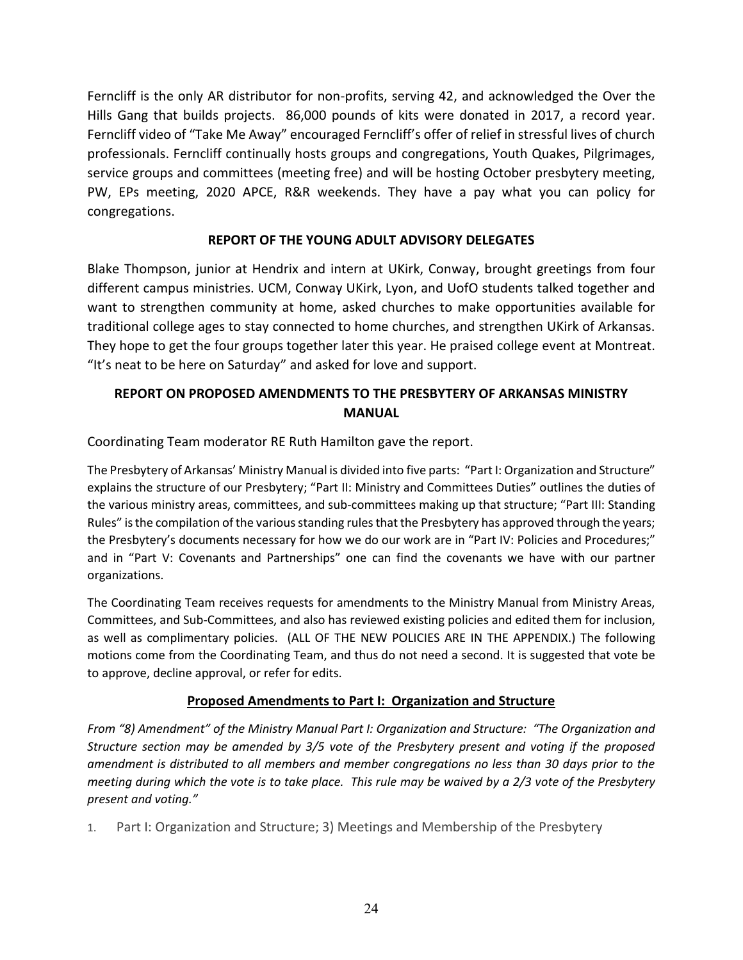Ferncliff is the only AR distributor for non-profits, serving 42, and acknowledged the Over the Hills Gang that builds projects. 86,000 pounds of kits were donated in 2017, a record year. Ferncliff video of "Take Me Away" encouraged Ferncliff's offer of relief in stressful lives of church professionals. Ferncliff continually hosts groups and congregations, Youth Quakes, Pilgrimages, service groups and committees (meeting free) and will be hosting October presbytery meeting, PW, EPs meeting, 2020 APCE, R&R weekends. They have a pay what you can policy for congregations.

## **REPORT OF THE YOUNG ADULT ADVISORY DELEGATES**

Blake Thompson, junior at Hendrix and intern at UKirk, Conway, brought greetings from four different campus ministries. UCM, Conway UKirk, Lyon, and UofO students talked together and want to strengthen community at home, asked churches to make opportunities available for traditional college ages to stay connected to home churches, and strengthen UKirk of Arkansas. They hope to get the four groups together later this year. He praised college event at Montreat. "It's neat to be here on Saturday" and asked for love and support.

# **REPORT ON PROPOSED AMENDMENTS TO THE PRESBYTERY OF ARKANSAS MINISTRY MANUAL**

Coordinating Team moderator RE Ruth Hamilton gave the report.

The Presbytery of Arkansas' Ministry Manual is divided into five parts: "Part I: Organization and Structure" explains the structure of our Presbytery; "Part II: Ministry and Committees Duties" outlines the duties of the various ministry areas, committees, and sub-committees making up that structure; "Part III: Standing Rules" is the compilation of the various standing rules that the Presbytery has approved through the years; the Presbytery's documents necessary for how we do our work are in "Part IV: Policies and Procedures;" and in "Part V: Covenants and Partnerships" one can find the covenants we have with our partner organizations.

The Coordinating Team receives requests for amendments to the Ministry Manual from Ministry Areas, Committees, and Sub-Committees, and also has reviewed existing policies and edited them for inclusion, as well as complimentary policies. (ALL OF THE NEW POLICIES ARE IN THE APPENDIX.) The following motions come from the Coordinating Team, and thus do not need a second. It is suggested that vote be to approve, decline approval, or refer for edits.

## **Proposed Amendments to Part I: Organization and Structure**

*From "8) Amendment" of the Ministry Manual Part I: Organization and Structure: "The Organization and Structure section may be amended by 3/5 vote of the Presbytery present and voting if the proposed amendment is distributed to all members and member congregations no less than 30 days prior to the meeting during which the vote is to take place. This rule may be waived by a 2/3 vote of the Presbytery present and voting."*

1. Part I: Organization and Structure; 3) Meetings and Membership of the Presbytery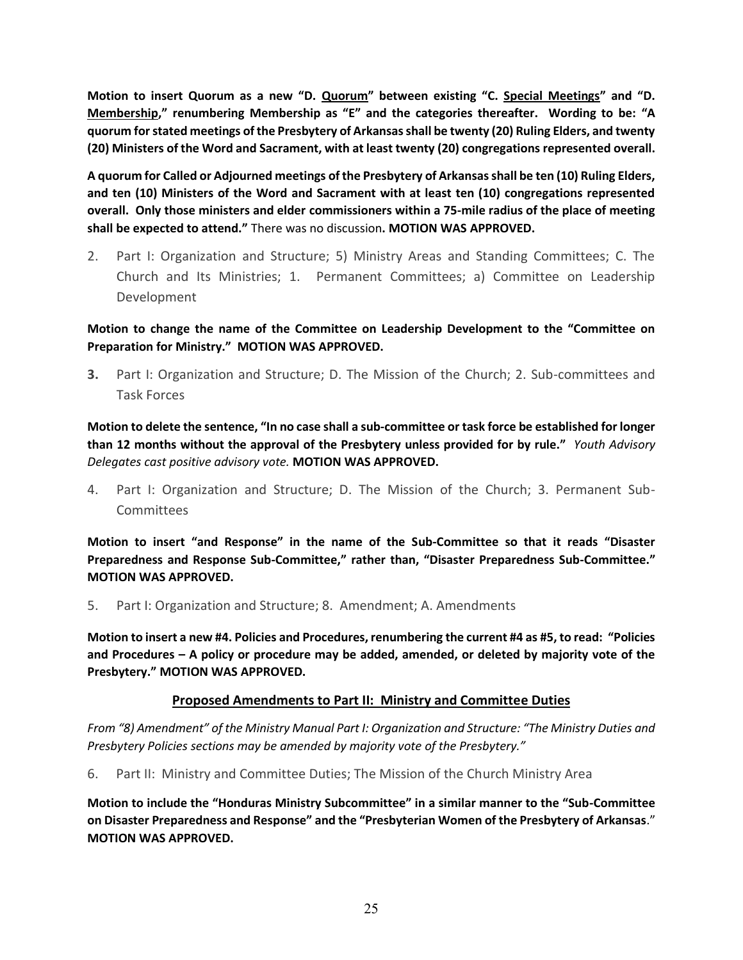**Motion to insert Quorum as a new "D. Quorum" between existing "C. Special Meetings" and "D. Membership," renumbering Membership as "E" and the categories thereafter. Wording to be: "A quorum for stated meetings of the Presbytery of Arkansas shall be twenty (20) Ruling Elders, and twenty (20) Ministers of the Word and Sacrament, with at least twenty (20) congregations represented overall.**

**A quorum for Called or Adjourned meetings of the Presbytery of Arkansas shall be ten (10) Ruling Elders, and ten (10) Ministers of the Word and Sacrament with at least ten (10) congregations represented overall. Only those ministers and elder commissioners within a 75-mile radius of the place of meeting shall be expected to attend."** There was no discussion**. MOTION WAS APPROVED.**

2. Part I: Organization and Structure; 5) Ministry Areas and Standing Committees; C. The Church and Its Ministries; 1. Permanent Committees; a) Committee on Leadership Development

**Motion to change the name of the Committee on Leadership Development to the "Committee on Preparation for Ministry." MOTION WAS APPROVED.**

**3.** Part I: Organization and Structure; D. The Mission of the Church; 2. Sub-committees and Task Forces

**Motion to delete the sentence, "In no case shall a sub-committee or task force be established for longer than 12 months without the approval of the Presbytery unless provided for by rule."** *Youth Advisory Delegates cast positive advisory vote.* **MOTION WAS APPROVED.**

4. Part I: Organization and Structure; D. The Mission of the Church; 3. Permanent Sub-Committees

**Motion to insert "and Response" in the name of the Sub-Committee so that it reads "Disaster Preparedness and Response Sub-Committee," rather than, "Disaster Preparedness Sub-Committee." MOTION WAS APPROVED.**

5. Part I: Organization and Structure; 8. Amendment; A. Amendments

**Motion to insert a new #4. Policies and Procedures, renumbering the current #4 as #5, to read: "Policies and Procedures – A policy or procedure may be added, amended, or deleted by majority vote of the Presbytery." MOTION WAS APPROVED.**

### **Proposed Amendments to Part II: Ministry and Committee Duties**

*From "8) Amendment" of the Ministry Manual Part I: Organization and Structure: "The Ministry Duties and Presbytery Policies sections may be amended by majority vote of the Presbytery."*

6. Part II: Ministry and Committee Duties; The Mission of the Church Ministry Area

**Motion to include the "Honduras Ministry Subcommittee" in a similar manner to the "Sub-Committee on Disaster Preparedness and Response" and the "Presbyterian Women of the Presbytery of Arkansas**." **MOTION WAS APPROVED.**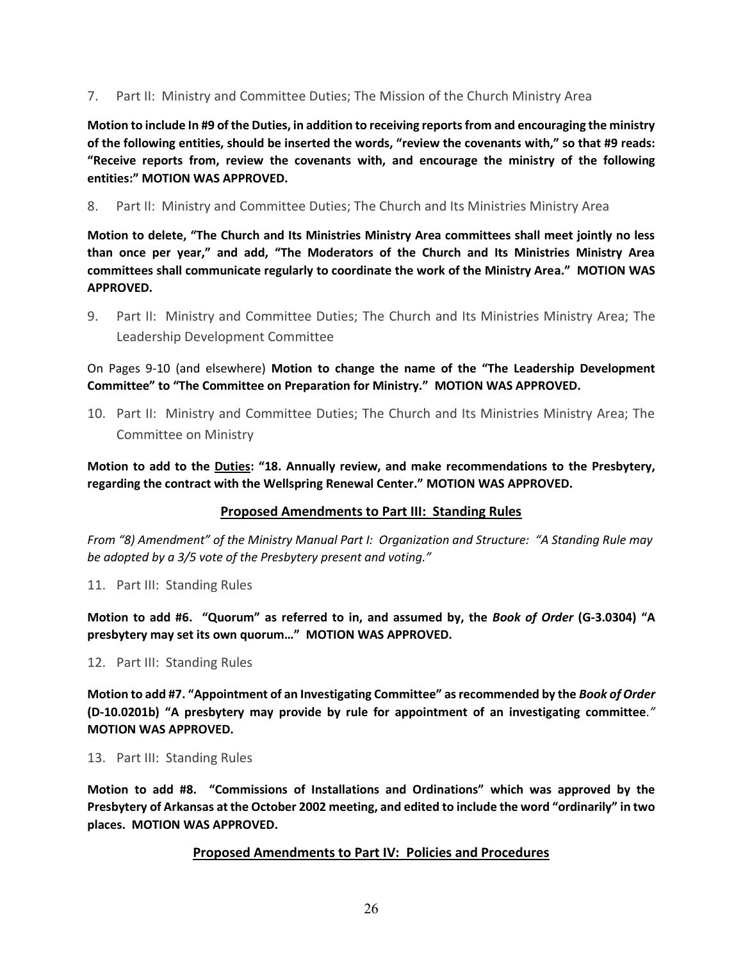7. Part II: Ministry and Committee Duties; The Mission of the Church Ministry Area

**Motion to include In #9 of the Duties, in addition to receiving reports from and encouraging the ministry of the following entities, should be inserted the words, "review the covenants with," so that #9 reads: "Receive reports from, review the covenants with, and encourage the ministry of the following entities:" MOTION WAS APPROVED.**

8. Part II: Ministry and Committee Duties; The Church and Its Ministries Ministry Area

**Motion to delete, "The Church and Its Ministries Ministry Area committees shall meet jointly no less than once per year," and add, "The Moderators of the Church and Its Ministries Ministry Area committees shall communicate regularly to coordinate the work of the Ministry Area." MOTION WAS APPROVED.**

9. Part II: Ministry and Committee Duties; The Church and Its Ministries Ministry Area; The Leadership Development Committee

On Pages 9-10 (and elsewhere) **Motion to change the name of the "The Leadership Development Committee" to "The Committee on Preparation for Ministry." MOTION WAS APPROVED.**

10. Part II: Ministry and Committee Duties; The Church and Its Ministries Ministry Area; The Committee on Ministry

**Motion to add to the Duties: "18. Annually review, and make recommendations to the Presbytery, regarding the contract with the Wellspring Renewal Center." MOTION WAS APPROVED.**

### **Proposed Amendments to Part III: Standing Rules**

*From "8) Amendment" of the Ministry Manual Part I: Organization and Structure: "A Standing Rule may be adopted by a 3/5 vote of the Presbytery present and voting."*

11. Part III: Standing Rules

**Motion to add #6. "Quorum" as referred to in, and assumed by, the** *Book of Order* **(G-3.0304) "A presbytery may set its own quorum…" MOTION WAS APPROVED.**

12. Part III: Standing Rules

**Motion to add #7. "Appointment of an Investigating Committee" as recommended by the** *Book of Order* **(D-10.0201b) "A presbytery may provide by rule for appointment of an investigating committee***."*  **MOTION WAS APPROVED.**

13. Part III: Standing Rules

**Motion to add #8. "Commissions of Installations and Ordinations" which was approved by the Presbytery of Arkansas at the October 2002 meeting, and edited to include the word "ordinarily" in two places. MOTION WAS APPROVED.**

### **Proposed Amendments to Part IV: Policies and Procedures**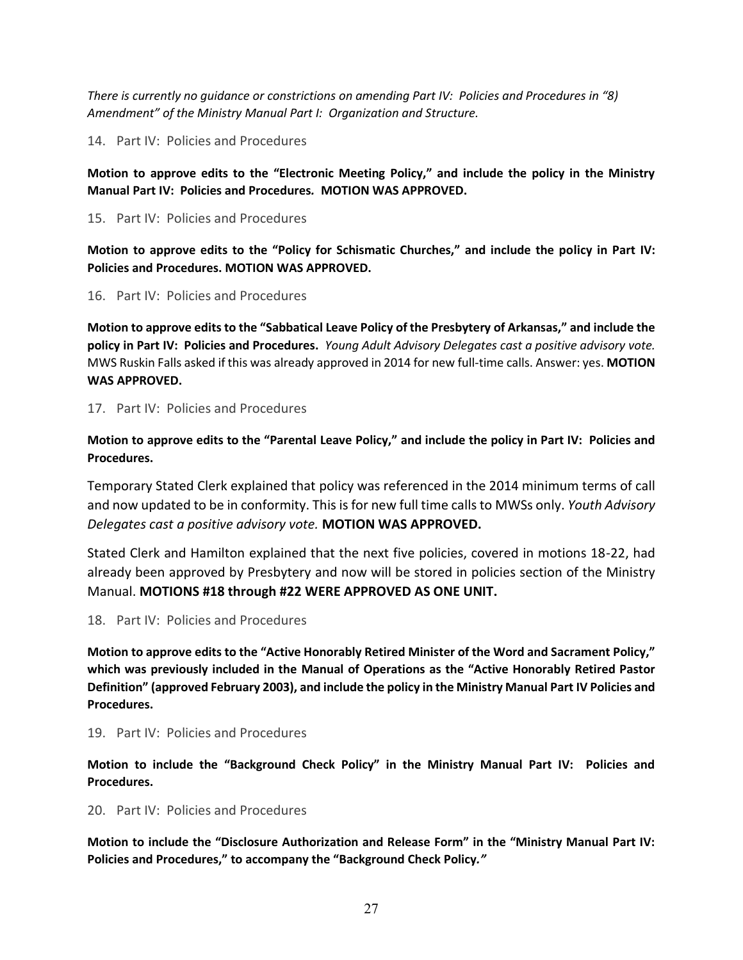*There is currently no guidance or constrictions on amending Part IV: Policies and Procedures in "8) Amendment" of the Ministry Manual Part I: Organization and Structure.*

14. Part IV: Policies and Procedures

**Motion to approve edits to the "Electronic Meeting Policy," and include the policy in the Ministry Manual Part IV: Policies and Procedures***.* **MOTION WAS APPROVED.**

15. Part IV: Policies and Procedures

**Motion to approve edits to the "Policy for Schismatic Churches," and include the policy in Part IV: Policies and Procedures. MOTION WAS APPROVED.**

16. Part IV: Policies and Procedures

**Motion to approve edits to the "Sabbatical Leave Policy of the Presbytery of Arkansas," and include the policy in Part IV: Policies and Procedures.** *Young Adult Advisory Delegates cast a positive advisory vote.*  MWS Ruskin Falls asked if this was already approved in 2014 for new full-time calls. Answer: yes. **MOTION WAS APPROVED.**

17. Part IV: Policies and Procedures

**Motion to approve edits to the "Parental Leave Policy," and include the policy in Part IV: Policies and Procedures.**

Temporary Stated Clerk explained that policy was referenced in the 2014 minimum terms of call and now updated to be in conformity. This is for new full time calls to MWSs only. *Youth Advisory Delegates cast a positive advisory vote.* **MOTION WAS APPROVED.**

Stated Clerk and Hamilton explained that the next five policies, covered in motions 18-22, had already been approved by Presbytery and now will be stored in policies section of the Ministry Manual. **MOTIONS #18 through #22 WERE APPROVED AS ONE UNIT.**

18. Part IV: Policies and Procedures

**Motion to approve edits to the "Active Honorably Retired Minister of the Word and Sacrament Policy," which was previously included in the Manual of Operations as the "Active Honorably Retired Pastor Definition" (approved February 2003), and include the policy in the Ministry Manual Part IV Policies and Procedures.**

19. Part IV: Policies and Procedures

**Motion to include the "Background Check Policy" in the Ministry Manual Part IV: Policies and Procedures.**

20. Part IV: Policies and Procedures

**Motion to include the "Disclosure Authorization and Release Form" in the "Ministry Manual Part IV: Policies and Procedures," to accompany the "Background Check Policy***."*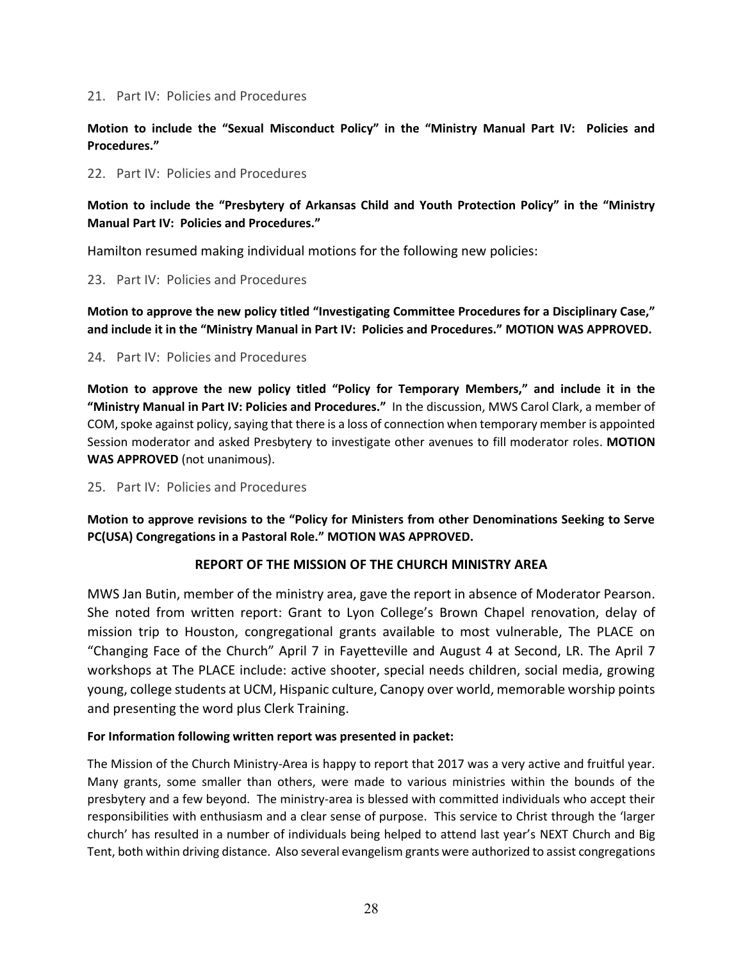#### 21. Part IV: Policies and Procedures

**Motion to include the "Sexual Misconduct Policy" in the "Ministry Manual Part IV: Policies and Procedures."**

#### 22. Part IV: Policies and Procedures

**Motion to include the "Presbytery of Arkansas Child and Youth Protection Policy" in the "Ministry Manual Part IV: Policies and Procedures."** 

Hamilton resumed making individual motions for the following new policies:

23. Part IV: Policies and Procedures

**Motion to approve the new policy titled "Investigating Committee Procedures for a Disciplinary Case," and include it in the "Ministry Manual in Part IV: Policies and Procedures." MOTION WAS APPROVED.**

#### 24. Part IV: Policies and Procedures

**Motion to approve the new policy titled "Policy for Temporary Members," and include it in the "Ministry Manual in Part IV: Policies and Procedures."** In the discussion, MWS Carol Clark, a member of COM, spoke against policy, saying that there is a loss of connection when temporary member is appointed Session moderator and asked Presbytery to investigate other avenues to fill moderator roles. **MOTION WAS APPROVED** (not unanimous).

25. Part IV: Policies and Procedures

**Motion to approve revisions to the "Policy for Ministers from other Denominations Seeking to Serve PC(USA) Congregations in a Pastoral Role." MOTION WAS APPROVED.** 

### **REPORT OF THE MISSION OF THE CHURCH MINISTRY AREA**

MWS Jan Butin, member of the ministry area, gave the report in absence of Moderator Pearson. She noted from written report: Grant to Lyon College's Brown Chapel renovation, delay of mission trip to Houston, congregational grants available to most vulnerable, The PLACE on "Changing Face of the Church" April 7 in Fayetteville and August 4 at Second, LR. The April 7 workshops at The PLACE include: active shooter, special needs children, social media, growing young, college students at UCM, Hispanic culture, Canopy over world, memorable worship points and presenting the word plus Clerk Training.

### **For Information following written report was presented in packet:**

The Mission of the Church Ministry-Area is happy to report that 2017 was a very active and fruitful year. Many grants, some smaller than others, were made to various ministries within the bounds of the presbytery and a few beyond. The ministry-area is blessed with committed individuals who accept their responsibilities with enthusiasm and a clear sense of purpose. This service to Christ through the 'larger church' has resulted in a number of individuals being helped to attend last year's NEXT Church and Big Tent, both within driving distance. Also several evangelism grants were authorized to assist congregations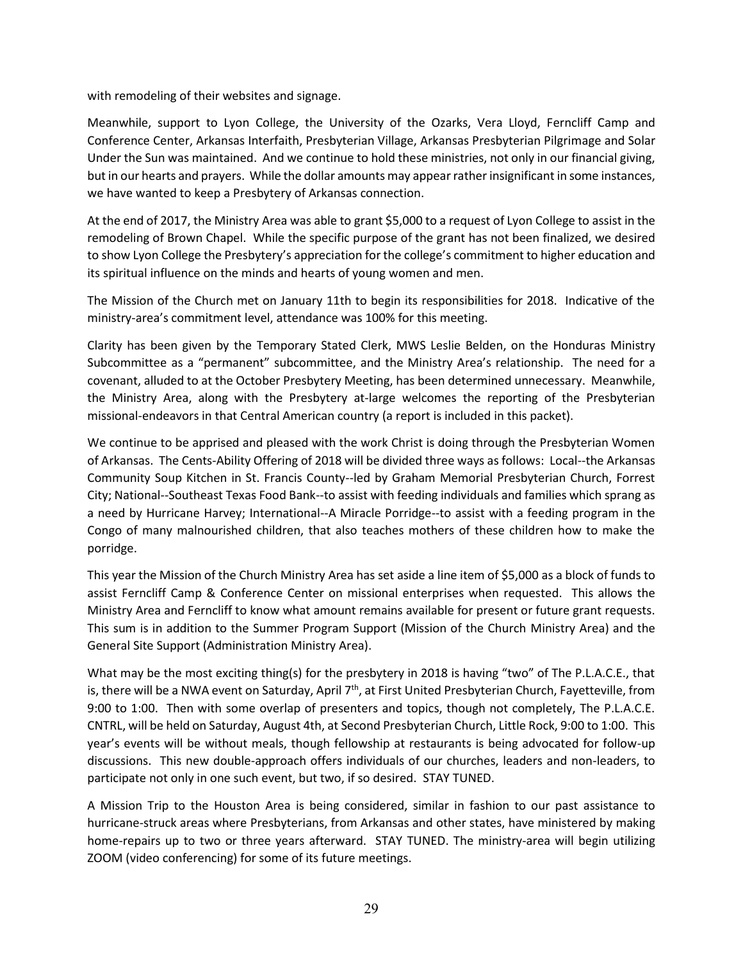with remodeling of their websites and signage.

Meanwhile, support to Lyon College, the University of the Ozarks, Vera Lloyd, Ferncliff Camp and Conference Center, Arkansas Interfaith, Presbyterian Village, Arkansas Presbyterian Pilgrimage and Solar Under the Sun was maintained. And we continue to hold these ministries, not only in our financial giving, but in our hearts and prayers. While the dollar amounts may appear rather insignificant in some instances, we have wanted to keep a Presbytery of Arkansas connection.

At the end of 2017, the Ministry Area was able to grant \$5,000 to a request of Lyon College to assist in the remodeling of Brown Chapel. While the specific purpose of the grant has not been finalized, we desired to show Lyon College the Presbytery's appreciation for the college's commitment to higher education and its spiritual influence on the minds and hearts of young women and men.

The Mission of the Church met on January 11th to begin its responsibilities for 2018. Indicative of the ministry-area's commitment level, attendance was 100% for this meeting.

Clarity has been given by the Temporary Stated Clerk, MWS Leslie Belden, on the Honduras Ministry Subcommittee as a "permanent" subcommittee, and the Ministry Area's relationship. The need for a covenant, alluded to at the October Presbytery Meeting, has been determined unnecessary. Meanwhile, the Ministry Area, along with the Presbytery at-large welcomes the reporting of the Presbyterian missional-endeavors in that Central American country (a report is included in this packet).

We continue to be apprised and pleased with the work Christ is doing through the Presbyterian Women of Arkansas. The Cents-Ability Offering of 2018 will be divided three ways as follows: Local--the Arkansas Community Soup Kitchen in St. Francis County--led by Graham Memorial Presbyterian Church, Forrest City; National--Southeast Texas Food Bank--to assist with feeding individuals and families which sprang as a need by Hurricane Harvey; International--A Miracle Porridge--to assist with a feeding program in the Congo of many malnourished children, that also teaches mothers of these children how to make the porridge.

This year the Mission of the Church Ministry Area has set aside a line item of \$5,000 as a block of funds to assist Ferncliff Camp & Conference Center on missional enterprises when requested. This allows the Ministry Area and Ferncliff to know what amount remains available for present or future grant requests. This sum is in addition to the Summer Program Support (Mission of the Church Ministry Area) and the General Site Support (Administration Ministry Area).

What may be the most exciting thing(s) for the presbytery in 2018 is having "two" of The P.L.A.C.E., that is, there will be a NWA event on Saturday, April 7<sup>th</sup>, at First United Presbyterian Church, Fayetteville, from 9:00 to 1:00. Then with some overlap of presenters and topics, though not completely, The P.L.A.C.E. CNTRL, will be held on Saturday, August 4th, at Second Presbyterian Church, Little Rock, 9:00 to 1:00. This year's events will be without meals, though fellowship at restaurants is being advocated for follow-up discussions. This new double-approach offers individuals of our churches, leaders and non-leaders, to participate not only in one such event, but two, if so desired. STAY TUNED.

A Mission Trip to the Houston Area is being considered, similar in fashion to our past assistance to hurricane-struck areas where Presbyterians, from Arkansas and other states, have ministered by making home-repairs up to two or three years afterward. STAY TUNED. The ministry-area will begin utilizing ZOOM (video conferencing) for some of its future meetings.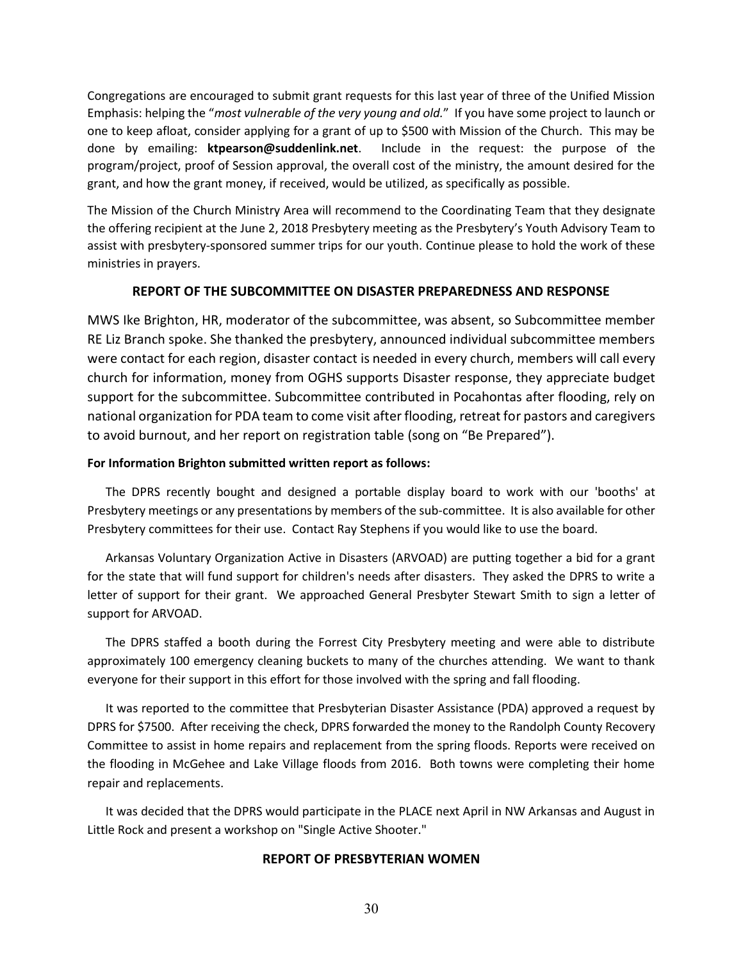Congregations are encouraged to submit grant requests for this last year of three of the Unified Mission Emphasis: helping the "*most vulnerable of the very young and old.*" If you have some project to launch or one to keep afloat, consider applying for a grant of up to \$500 with Mission of the Church. This may be done by emailing: **ktpearson@suddenlink.net**. Include in the request: the purpose of the program/project, proof of Session approval, the overall cost of the ministry, the amount desired for the grant, and how the grant money, if received, would be utilized, as specifically as possible.

The Mission of the Church Ministry Area will recommend to the Coordinating Team that they designate the offering recipient at the June 2, 2018 Presbytery meeting as the Presbytery's Youth Advisory Team to assist with presbytery-sponsored summer trips for our youth. Continue please to hold the work of these ministries in prayers.

#### **REPORT OF THE SUBCOMMITTEE ON DISASTER PREPAREDNESS AND RESPONSE**

MWS Ike Brighton, HR, moderator of the subcommittee, was absent, so Subcommittee member RE Liz Branch spoke. She thanked the presbytery, announced individual subcommittee members were contact for each region, disaster contact is needed in every church, members will call every church for information, money from OGHS supports Disaster response, they appreciate budget support for the subcommittee. Subcommittee contributed in Pocahontas after flooding, rely on national organization for PDA team to come visit after flooding, retreat for pastors and caregivers to avoid burnout, and her report on registration table (song on "Be Prepared").

#### **For Information Brighton submitted written report as follows:**

 The DPRS recently bought and designed a portable display board to work with our 'booths' at Presbytery meetings or any presentations by members of the sub-committee. It is also available for other Presbytery committees for their use. Contact Ray Stephens if you would like to use the board.

 Arkansas Voluntary Organization Active in Disasters (ARVOAD) are putting together a bid for a grant for the state that will fund support for children's needs after disasters. They asked the DPRS to write a letter of support for their grant. We approached General Presbyter Stewart Smith to sign a letter of support for ARVOAD.

 The DPRS staffed a booth during the Forrest City Presbytery meeting and were able to distribute approximately 100 emergency cleaning buckets to many of the churches attending. We want to thank everyone for their support in this effort for those involved with the spring and fall flooding.

 It was reported to the committee that Presbyterian Disaster Assistance (PDA) approved a request by DPRS for \$7500. After receiving the check, DPRS forwarded the money to the Randolph County Recovery Committee to assist in home repairs and replacement from the spring floods. Reports were received on the flooding in McGehee and Lake Village floods from 2016. Both towns were completing their home repair and replacements.

 It was decided that the DPRS would participate in the PLACE next April in NW Arkansas and August in Little Rock and present a workshop on "Single Active Shooter."

### **REPORT OF PRESBYTERIAN WOMEN**